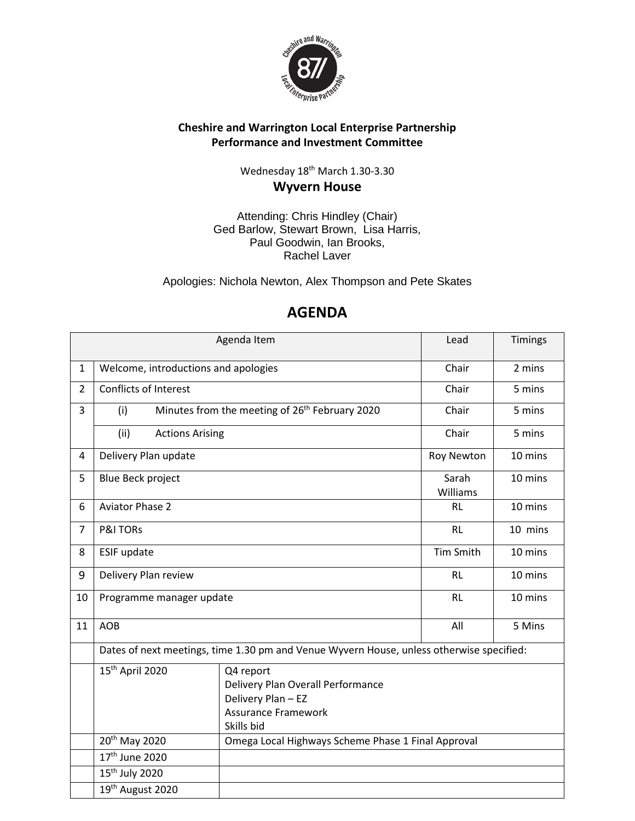

## **Cheshire and Warrington Local Enterprise Partnership Performance and Investment Committee**

Wednesday 18<sup>th</sup> March 1.30-3.30 **Wyvern House**

Attending: Chris Hindley (Chair) Ged Barlow, Stewart Brown, Lisa Harris, Paul Goodwin, Ian Brooks, Rachel Laver

Apologies: Nichola Newton, Alex Thompson and Pete Skates

|                |                                                                                                                                                 | Agenda Item                                                | Lead              | Timings |
|----------------|-------------------------------------------------------------------------------------------------------------------------------------------------|------------------------------------------------------------|-------------------|---------|
| $\mathbf{1}$   | Welcome, introductions and apologies                                                                                                            |                                                            | Chair             | 2 mins  |
| $\overline{2}$ | <b>Conflicts of Interest</b>                                                                                                                    |                                                            | Chair             | 5 mins  |
| 3              | (i)                                                                                                                                             | Minutes from the meeting of 26 <sup>th</sup> February 2020 | Chair             | 5 mins  |
|                | (ii)<br><b>Actions Arising</b>                                                                                                                  |                                                            | Chair             | 5 mins  |
| 4              | Delivery Plan update                                                                                                                            |                                                            | Roy Newton        | 10 mins |
| 5              | <b>Blue Beck project</b>                                                                                                                        |                                                            | Sarah<br>Williams | 10 mins |
| 6              | <b>Aviator Phase 2</b>                                                                                                                          |                                                            | <b>RL</b>         | 10 mins |
| $\overline{7}$ | <b>P&amp;I TORS</b>                                                                                                                             |                                                            | <b>RL</b>         | 10 mins |
| 8              | ESIF update                                                                                                                                     |                                                            | <b>Tim Smith</b>  | 10 mins |
| 9              | Delivery Plan review                                                                                                                            |                                                            | <b>RL</b>         | 10 mins |
| 10             | Programme manager update                                                                                                                        |                                                            | <b>RL</b>         | 10 mins |
| 11             | <b>AOB</b>                                                                                                                                      |                                                            | All               | 5 Mins  |
|                | Dates of next meetings, time 1.30 pm and Venue Wyvern House, unless otherwise specified:                                                        |                                                            |                   |         |
|                | 15 <sup>th</sup> April 2020<br>Q4 report<br>Delivery Plan Overall Performance<br>Delivery Plan - EZ<br><b>Assurance Framework</b><br>Skills bid |                                                            |                   |         |
|                | 20 <sup>th</sup> May 2020                                                                                                                       | Omega Local Highways Scheme Phase 1 Final Approval         |                   |         |
|                | 17 <sup>th</sup> June 2020                                                                                                                      |                                                            |                   |         |
|                | 15 <sup>th</sup> July 2020                                                                                                                      |                                                            |                   |         |
|                | 19th August 2020                                                                                                                                |                                                            |                   |         |

# **AGENDA**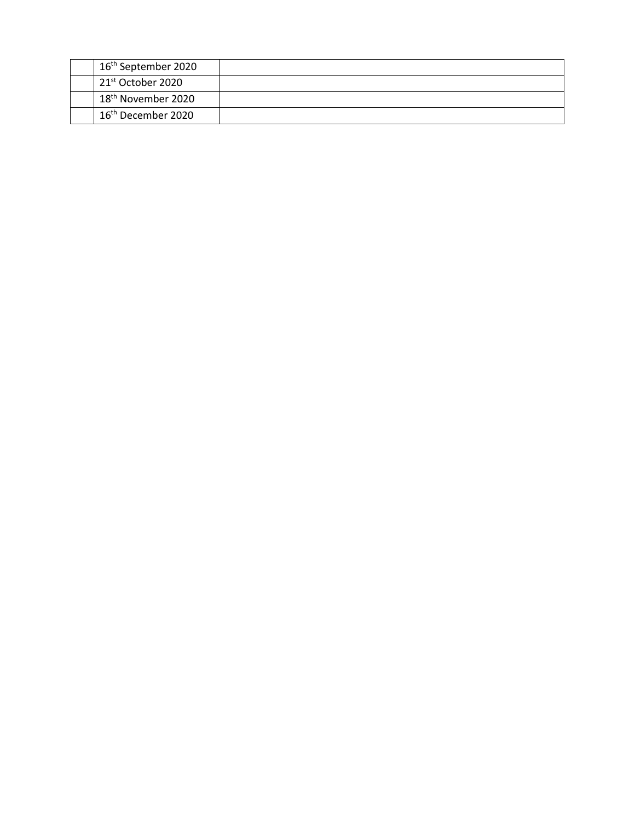| 16 <sup>th</sup> September 2020 |  |
|---------------------------------|--|
| 21 <sup>st</sup> October 2020   |  |
| 18 <sup>th</sup> November 2020  |  |
| 16 <sup>th</sup> December 2020  |  |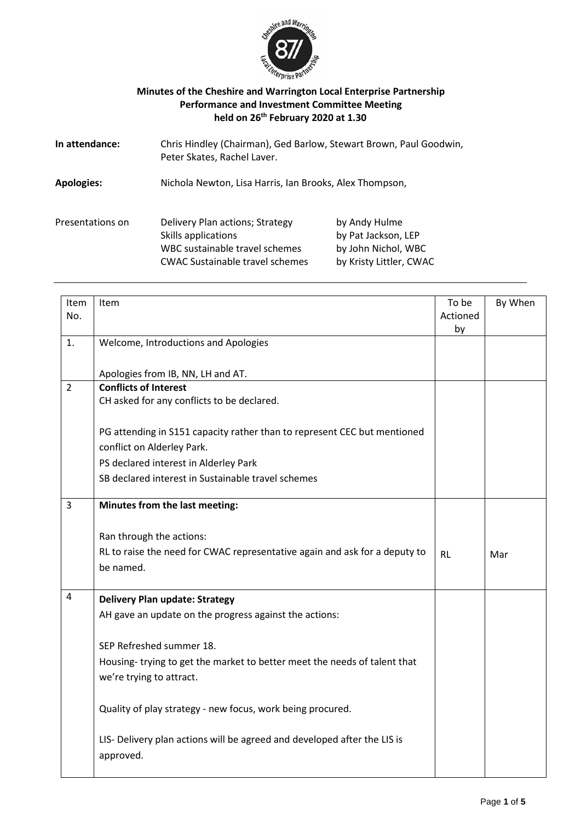

#### **Minutes of the Cheshire and Warrington Local Enterprise Partnership Performance and Investment Committee Meeting held on 26th February 2020 at 1.30**

| In attendance:    | Chris Hindley (Chairman), Ged Barlow, Stewart Brown, Paul Goodwin,<br>Peter Skates, Rachel Laver.                                  |                                                                                        |
|-------------------|------------------------------------------------------------------------------------------------------------------------------------|----------------------------------------------------------------------------------------|
| <b>Apologies:</b> | Nichola Newton, Lisa Harris, Ian Brooks, Alex Thompson,                                                                            |                                                                                        |
| Presentations on  | Delivery Plan actions; Strategy<br>Skills applications<br>WBC sustainable travel schemes<br><b>CWAC Sustainable travel schemes</b> | by Andy Hulme<br>by Pat Jackson, LEP<br>by John Nichol, WBC<br>by Kristy Littler, CWAC |

| <b>Item</b><br>No. | Item                                                                                                   | To be<br>Actioned<br>by | By When |
|--------------------|--------------------------------------------------------------------------------------------------------|-------------------------|---------|
| 1.                 | Welcome, Introductions and Apologies                                                                   |                         |         |
|                    | Apologies from IB, NN, LH and AT.                                                                      |                         |         |
| $\overline{2}$     | <b>Conflicts of Interest</b><br>CH asked for any conflicts to be declared.                             |                         |         |
|                    | PG attending in S151 capacity rather than to represent CEC but mentioned<br>conflict on Alderley Park. |                         |         |
|                    | PS declared interest in Alderley Park                                                                  |                         |         |
|                    | SB declared interest in Sustainable travel schemes                                                     |                         |         |
| $\overline{3}$     | Minutes from the last meeting:                                                                         |                         |         |
|                    | Ran through the actions:                                                                               |                         |         |
|                    | RL to raise the need for CWAC representative again and ask for a deputy to<br>be named.                | <b>RL</b>               | Mar     |
| 4                  | <b>Delivery Plan update: Strategy</b>                                                                  |                         |         |
|                    | AH gave an update on the progress against the actions:                                                 |                         |         |
|                    | SEP Refreshed summer 18.                                                                               |                         |         |
|                    | Housing-trying to get the market to better meet the needs of talent that<br>we're trying to attract.   |                         |         |
|                    | Quality of play strategy - new focus, work being procured.                                             |                         |         |
|                    | LIS- Delivery plan actions will be agreed and developed after the LIS is<br>approved.                  |                         |         |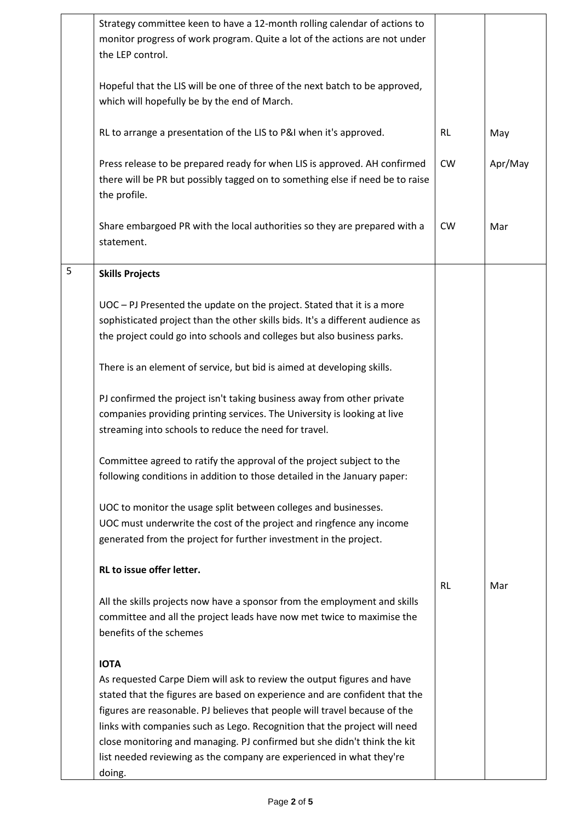|   | Strategy committee keen to have a 12-month rolling calendar of actions to<br>monitor progress of work program. Quite a lot of the actions are not under<br>the LEP control.                                                                                                                                                                                                                 |           |         |
|---|---------------------------------------------------------------------------------------------------------------------------------------------------------------------------------------------------------------------------------------------------------------------------------------------------------------------------------------------------------------------------------------------|-----------|---------|
|   | Hopeful that the LIS will be one of three of the next batch to be approved,<br>which will hopefully be by the end of March.                                                                                                                                                                                                                                                                 |           |         |
|   | RL to arrange a presentation of the LIS to P&I when it's approved.                                                                                                                                                                                                                                                                                                                          | <b>RL</b> | May     |
|   | Press release to be prepared ready for when LIS is approved. AH confirmed<br>there will be PR but possibly tagged on to something else if need be to raise<br>the profile.                                                                                                                                                                                                                  | <b>CW</b> | Apr/May |
|   | Share embargoed PR with the local authorities so they are prepared with a<br>statement.                                                                                                                                                                                                                                                                                                     | <b>CW</b> | Mar     |
| 5 | <b>Skills Projects</b>                                                                                                                                                                                                                                                                                                                                                                      |           |         |
|   | UOC - PJ Presented the update on the project. Stated that it is a more<br>sophisticated project than the other skills bids. It's a different audience as<br>the project could go into schools and colleges but also business parks.                                                                                                                                                         |           |         |
|   | There is an element of service, but bid is aimed at developing skills.                                                                                                                                                                                                                                                                                                                      |           |         |
|   | PJ confirmed the project isn't taking business away from other private<br>companies providing printing services. The University is looking at live<br>streaming into schools to reduce the need for travel.                                                                                                                                                                                 |           |         |
|   | Committee agreed to ratify the approval of the project subject to the<br>following conditions in addition to those detailed in the January paper:                                                                                                                                                                                                                                           |           |         |
|   | UOC to monitor the usage split between colleges and businesses.<br>UOC must underwrite the cost of the project and ringfence any income<br>generated from the project for further investment in the project.                                                                                                                                                                                |           |         |
|   | RL to issue offer letter.                                                                                                                                                                                                                                                                                                                                                                   | <b>RL</b> | Mar     |
|   | All the skills projects now have a sponsor from the employment and skills<br>committee and all the project leads have now met twice to maximise the<br>benefits of the schemes                                                                                                                                                                                                              |           |         |
|   | <b>IOTA</b>                                                                                                                                                                                                                                                                                                                                                                                 |           |         |
|   | As requested Carpe Diem will ask to review the output figures and have<br>stated that the figures are based on experience and are confident that the<br>figures are reasonable. PJ believes that people will travel because of the<br>links with companies such as Lego. Recognition that the project will need<br>close monitoring and managing. PJ confirmed but she didn't think the kit |           |         |
|   | list needed reviewing as the company are experienced in what they're<br>doing.                                                                                                                                                                                                                                                                                                              |           |         |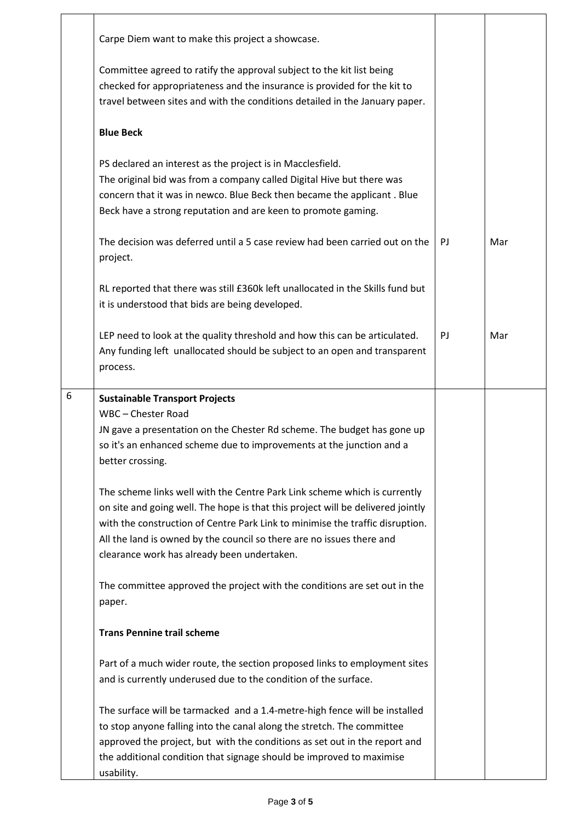|   | Carpe Diem want to make this project a showcase.                                                                                                                                                                                                                                                                                                                                                                                                                                                                                                                                                                                                                                                                                        |    |     |
|---|-----------------------------------------------------------------------------------------------------------------------------------------------------------------------------------------------------------------------------------------------------------------------------------------------------------------------------------------------------------------------------------------------------------------------------------------------------------------------------------------------------------------------------------------------------------------------------------------------------------------------------------------------------------------------------------------------------------------------------------------|----|-----|
|   | Committee agreed to ratify the approval subject to the kit list being<br>checked for appropriateness and the insurance is provided for the kit to<br>travel between sites and with the conditions detailed in the January paper.                                                                                                                                                                                                                                                                                                                                                                                                                                                                                                        |    |     |
|   | <b>Blue Beck</b>                                                                                                                                                                                                                                                                                                                                                                                                                                                                                                                                                                                                                                                                                                                        |    |     |
|   | PS declared an interest as the project is in Macclesfield.<br>The original bid was from a company called Digital Hive but there was<br>concern that it was in newco. Blue Beck then became the applicant. Blue<br>Beck have a strong reputation and are keen to promote gaming.                                                                                                                                                                                                                                                                                                                                                                                                                                                         |    |     |
|   | The decision was deferred until a 5 case review had been carried out on the<br>project.                                                                                                                                                                                                                                                                                                                                                                                                                                                                                                                                                                                                                                                 | PJ | Mar |
|   | RL reported that there was still £360k left unallocated in the Skills fund but<br>it is understood that bids are being developed.                                                                                                                                                                                                                                                                                                                                                                                                                                                                                                                                                                                                       |    |     |
|   | LEP need to look at the quality threshold and how this can be articulated.<br>Any funding left unallocated should be subject to an open and transparent<br>process.                                                                                                                                                                                                                                                                                                                                                                                                                                                                                                                                                                     | PJ | Mar |
| 6 | <b>Sustainable Transport Projects</b><br>WBC - Chester Road<br>JN gave a presentation on the Chester Rd scheme. The budget has gone up<br>so it's an enhanced scheme due to improvements at the junction and a<br>better crossing.<br>The scheme links well with the Centre Park Link scheme which is currently<br>on site and going well. The hope is that this project will be delivered jointly<br>with the construction of Centre Park Link to minimise the traffic disruption.<br>All the land is owned by the council so there are no issues there and<br>clearance work has already been undertaken.<br>The committee approved the project with the conditions are set out in the<br>paper.<br><b>Trans Pennine trail scheme</b> |    |     |
|   | Part of a much wider route, the section proposed links to employment sites<br>and is currently underused due to the condition of the surface.                                                                                                                                                                                                                                                                                                                                                                                                                                                                                                                                                                                           |    |     |
|   | The surface will be tarmacked and a 1.4-metre-high fence will be installed<br>to stop anyone falling into the canal along the stretch. The committee<br>approved the project, but with the conditions as set out in the report and<br>the additional condition that signage should be improved to maximise<br>usability.                                                                                                                                                                                                                                                                                                                                                                                                                |    |     |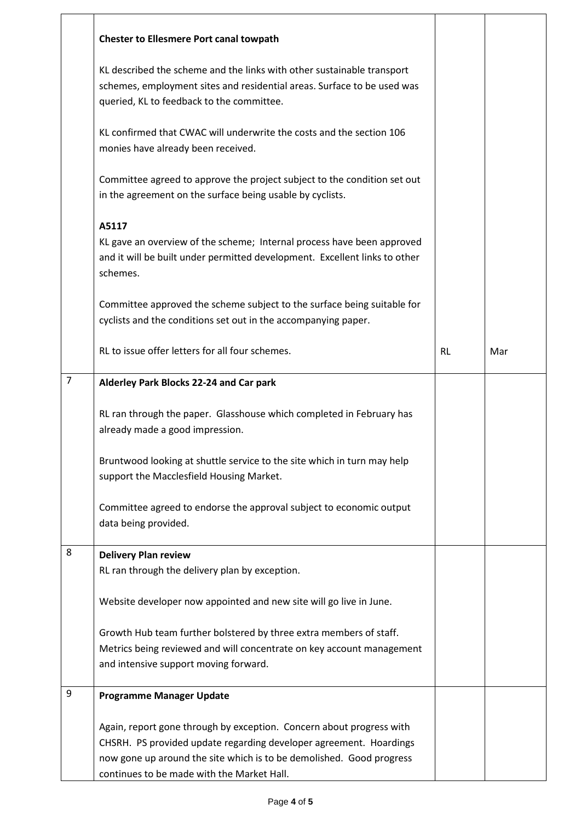|                | <b>Chester to Ellesmere Port canal towpath</b>                                                                                                                                                                                                                   |           |     |
|----------------|------------------------------------------------------------------------------------------------------------------------------------------------------------------------------------------------------------------------------------------------------------------|-----------|-----|
|                | KL described the scheme and the links with other sustainable transport<br>schemes, employment sites and residential areas. Surface to be used was<br>queried, KL to feedback to the committee.                                                                   |           |     |
|                | KL confirmed that CWAC will underwrite the costs and the section 106<br>monies have already been received.                                                                                                                                                       |           |     |
|                | Committee agreed to approve the project subject to the condition set out<br>in the agreement on the surface being usable by cyclists.                                                                                                                            |           |     |
|                | A5117<br>KL gave an overview of the scheme; Internal process have been approved<br>and it will be built under permitted development. Excellent links to other<br>schemes.                                                                                        |           |     |
|                | Committee approved the scheme subject to the surface being suitable for<br>cyclists and the conditions set out in the accompanying paper.                                                                                                                        |           |     |
|                | RL to issue offer letters for all four schemes.                                                                                                                                                                                                                  | <b>RL</b> | Mar |
| $\overline{7}$ | Alderley Park Blocks 22-24 and Car park                                                                                                                                                                                                                          |           |     |
|                | RL ran through the paper. Glasshouse which completed in February has<br>already made a good impression.                                                                                                                                                          |           |     |
|                | Bruntwood looking at shuttle service to the site which in turn may help<br>support the Macclesfield Housing Market.                                                                                                                                              |           |     |
|                | Committee agreed to endorse the approval subject to economic output<br>data being provided.                                                                                                                                                                      |           |     |
| 8              | <b>Delivery Plan review</b>                                                                                                                                                                                                                                      |           |     |
|                | RL ran through the delivery plan by exception.                                                                                                                                                                                                                   |           |     |
|                | Website developer now appointed and new site will go live in June.                                                                                                                                                                                               |           |     |
|                | Growth Hub team further bolstered by three extra members of staff.<br>Metrics being reviewed and will concentrate on key account management<br>and intensive support moving forward.                                                                             |           |     |
| 9              | <b>Programme Manager Update</b>                                                                                                                                                                                                                                  |           |     |
|                | Again, report gone through by exception. Concern about progress with<br>CHSRH. PS provided update regarding developer agreement. Hoardings<br>now gone up around the site which is to be demolished. Good progress<br>continues to be made with the Market Hall. |           |     |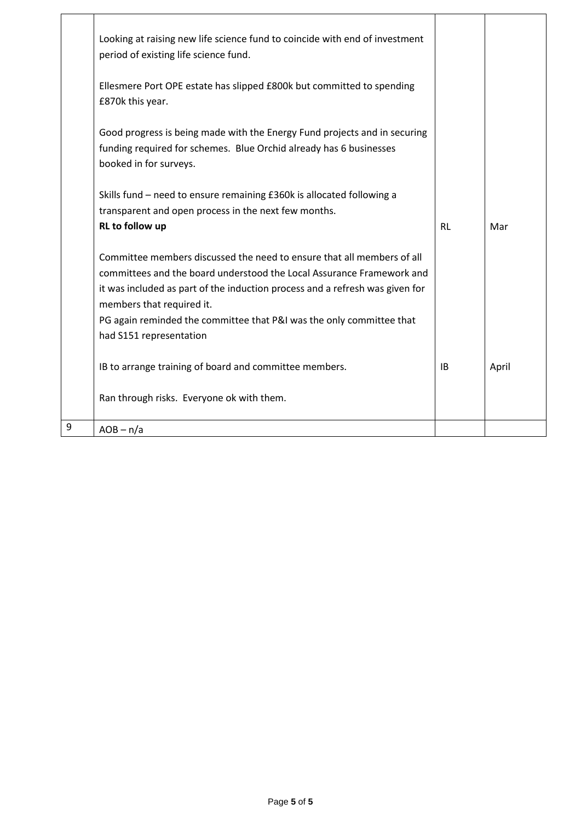|   | Looking at raising new life science fund to coincide with end of investment<br>period of existing life science fund.                                                                                                                                                                                                                 |           |       |
|---|--------------------------------------------------------------------------------------------------------------------------------------------------------------------------------------------------------------------------------------------------------------------------------------------------------------------------------------|-----------|-------|
|   | Ellesmere Port OPE estate has slipped £800k but committed to spending<br>£870k this year.                                                                                                                                                                                                                                            |           |       |
|   | Good progress is being made with the Energy Fund projects and in securing<br>funding required for schemes. Blue Orchid already has 6 businesses<br>booked in for surveys.                                                                                                                                                            |           |       |
|   | Skills fund - need to ensure remaining £360k is allocated following a<br>transparent and open process in the next few months.<br>RL to follow up                                                                                                                                                                                     | <b>RL</b> | Mar   |
|   | Committee members discussed the need to ensure that all members of all<br>committees and the board understood the Local Assurance Framework and<br>it was included as part of the induction process and a refresh was given for<br>members that required it.<br>PG again reminded the committee that P&I was the only committee that |           |       |
|   | had S151 representation                                                                                                                                                                                                                                                                                                              |           |       |
|   | IB to arrange training of board and committee members.                                                                                                                                                                                                                                                                               | <b>IB</b> | April |
|   | Ran through risks. Everyone ok with them.                                                                                                                                                                                                                                                                                            |           |       |
| 9 | $AOB - n/a$                                                                                                                                                                                                                                                                                                                          |           |       |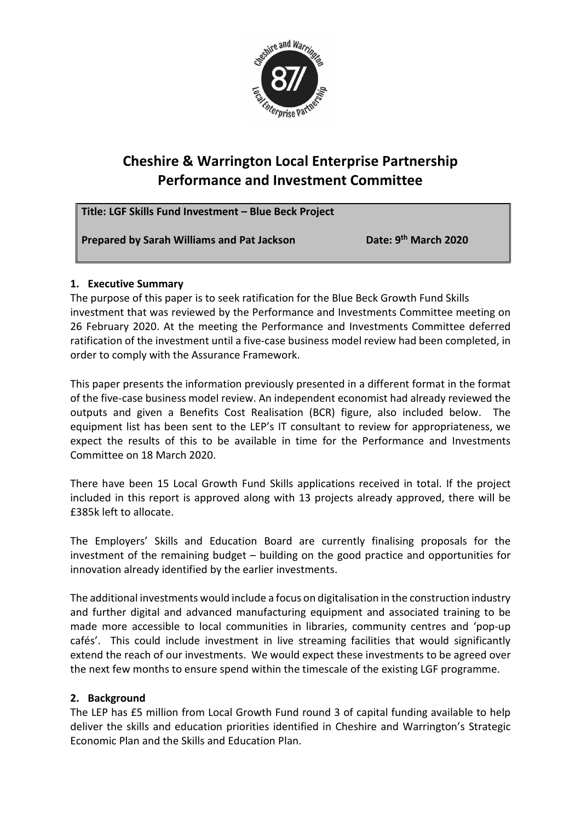

# **Cheshire & Warrington Local Enterprise Partnership Performance and Investment Committee**

**Title: LGF Skills Fund Investment – Blue Beck Project Prepared by Sarah Williams and Pat Jackson Date: 9th March 2020**

## **1. Executive Summary**

The purpose of this paper is to seek ratification for the Blue Beck Growth Fund Skills investment that was reviewed by the Performance and Investments Committee meeting on 26 February 2020. At the meeting the Performance and Investments Committee deferred ratification of the investment until a five-case business model review had been completed, in order to comply with the Assurance Framework.

This paper presents the information previously presented in a different format in the format of the five-case business model review. An independent economist had already reviewed the outputs and given a Benefits Cost Realisation (BCR) figure, also included below. The equipment list has been sent to the LEP's IT consultant to review for appropriateness, we expect the results of this to be available in time for the Performance and Investments Committee on 18 March 2020.

There have been 15 Local Growth Fund Skills applications received in total. If the project included in this report is approved along with 13 projects already approved, there will be £385k left to allocate.

The Employers' Skills and Education Board are currently finalising proposals for the investment of the remaining budget – building on the good practice and opportunities for innovation already identified by the earlier investments.

The additional investments would include a focus on digitalisation in the construction industry and further digital and advanced manufacturing equipment and associated training to be made more accessible to local communities in libraries, community centres and 'pop-up cafés'. This could include investment in live streaming facilities that would significantly extend the reach of our investments. We would expect these investments to be agreed over the next few months to ensure spend within the timescale of the existing LGF programme.

## **2. Background**

The LEP has £5 million from Local Growth Fund round 3 of capital funding available to help deliver the skills and education priorities identified in Cheshire and Warrington's Strategic Economic Plan and the Skills and Education Plan.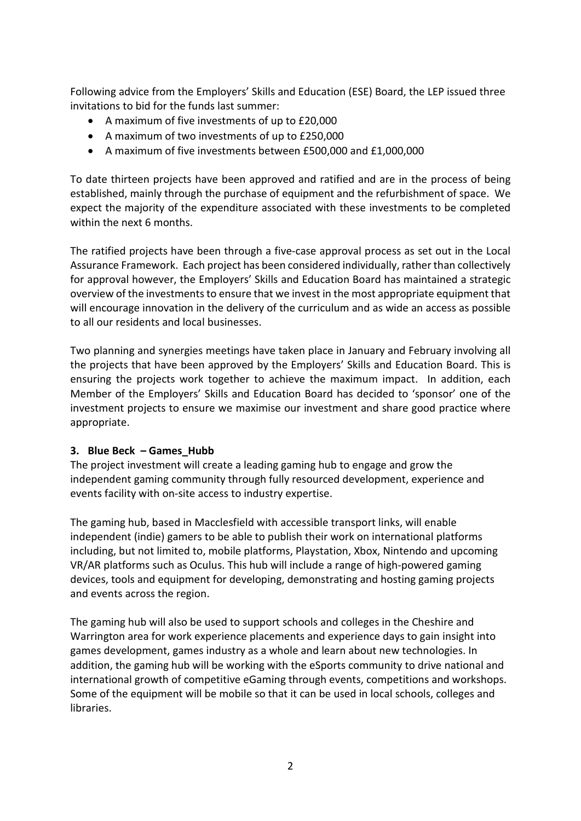Following advice from the Employers' Skills and Education (ESE) Board, the LEP issued three invitations to bid for the funds last summer:

- A maximum of five investments of up to £20,000
- A maximum of two investments of up to £250,000
- A maximum of five investments between £500,000 and £1,000,000

To date thirteen projects have been approved and ratified and are in the process of being established, mainly through the purchase of equipment and the refurbishment of space. We expect the majority of the expenditure associated with these investments to be completed within the next 6 months.

The ratified projects have been through a five-case approval process as set out in the Local Assurance Framework. Each project has been considered individually, rather than collectively for approval however, the Employers' Skills and Education Board has maintained a strategic overview of the investments to ensure that we invest in the most appropriate equipment that will encourage innovation in the delivery of the curriculum and as wide an access as possible to all our residents and local businesses.

Two planning and synergies meetings have taken place in January and February involving all the projects that have been approved by the Employers' Skills and Education Board. This is ensuring the projects work together to achieve the maximum impact. In addition, each Member of the Employers' Skills and Education Board has decided to 'sponsor' one of the investment projects to ensure we maximise our investment and share good practice where appropriate.

## **3. Blue Beck – Games\_Hubb**

The project investment will create a leading gaming hub to engage and grow the independent gaming community through fully resourced development, experience and events facility with on-site access to industry expertise.

The gaming hub, based in Macclesfield with accessible transport links, will enable independent (indie) gamers to be able to publish their work on international platforms including, but not limited to, mobile platforms, Playstation, Xbox, Nintendo and upcoming VR/AR platforms such as Oculus. This hub will include a range of high-powered gaming devices, tools and equipment for developing, demonstrating and hosting gaming projects and events across the region.

The gaming hub will also be used to support schools and colleges in the Cheshire and Warrington area for work experience placements and experience days to gain insight into games development, games industry as a whole and learn about new technologies. In addition, the gaming hub will be working with the eSports community to drive national and international growth of competitive eGaming through events, competitions and workshops. Some of the equipment will be mobile so that it can be used in local schools, colleges and libraries.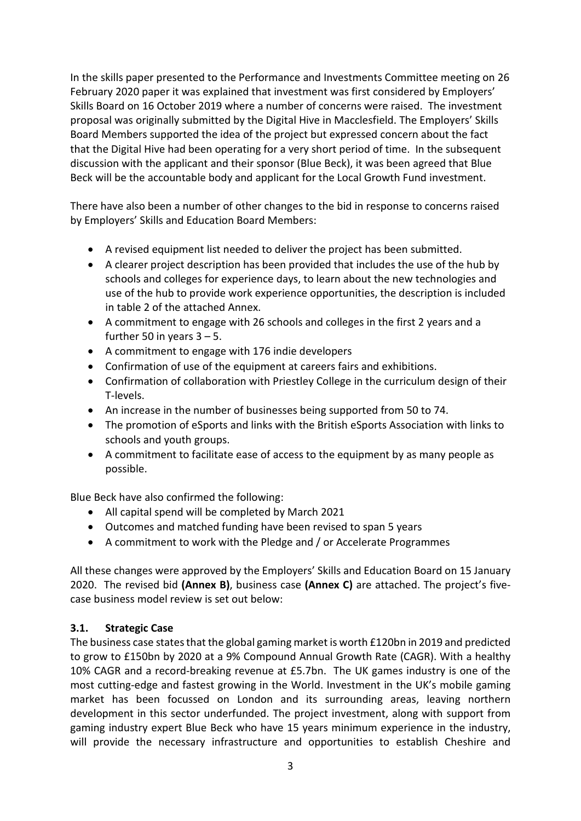In the skills paper presented to the Performance and Investments Committee meeting on 26 February 2020 paper it was explained that investment was first considered by Employers' Skills Board on 16 October 2019 where a number of concerns were raised. The investment proposal was originally submitted by the Digital Hive in Macclesfield. The Employers' Skills Board Members supported the idea of the project but expressed concern about the fact that the Digital Hive had been operating for a very short period of time. In the subsequent discussion with the applicant and their sponsor (Blue Beck), it was been agreed that Blue Beck will be the accountable body and applicant for the Local Growth Fund investment.

There have also been a number of other changes to the bid in response to concerns raised by Employers' Skills and Education Board Members:

- A revised equipment list needed to deliver the project has been submitted.
- A clearer project description has been provided that includes the use of the hub by schools and colleges for experience days, to learn about the new technologies and use of the hub to provide work experience opportunities, the description is included in table 2 of the attached Annex.
- A commitment to engage with 26 schools and colleges in the first 2 years and a further 50 in years  $3 - 5$ .
- A commitment to engage with 176 indie developers
- Confirmation of use of the equipment at careers fairs and exhibitions.
- Confirmation of collaboration with Priestley College in the curriculum design of their T-levels.
- An increase in the number of businesses being supported from 50 to 74.
- The promotion of eSports and links with the British eSports Association with links to schools and youth groups.
- A commitment to facilitate ease of access to the equipment by as many people as possible.

Blue Beck have also confirmed the following:

- All capital spend will be completed by March 2021
- Outcomes and matched funding have been revised to span 5 years
- A commitment to work with the Pledge and / or Accelerate Programmes

All these changes were approved by the Employers' Skills and Education Board on 15 January 2020. The revised bid **(Annex B)**, business case **(Annex C)** are attached. The project's fivecase business model review is set out below:

## **3.1. Strategic Case**

The business case states that the global gaming market is worth £120bn in 2019 and predicted to grow to £150bn by 2020 at a 9% Compound Annual Growth Rate (CAGR). With a healthy 10% CAGR and a record-breaking revenue at £5.7bn. The UK games industry is one of the most cutting-edge and fastest growing in the World. Investment in the UK's mobile gaming market has been focussed on London and its surrounding areas, leaving northern development in this sector underfunded. The project investment, along with support from gaming industry expert Blue Beck who have 15 years minimum experience in the industry, will provide the necessary infrastructure and opportunities to establish Cheshire and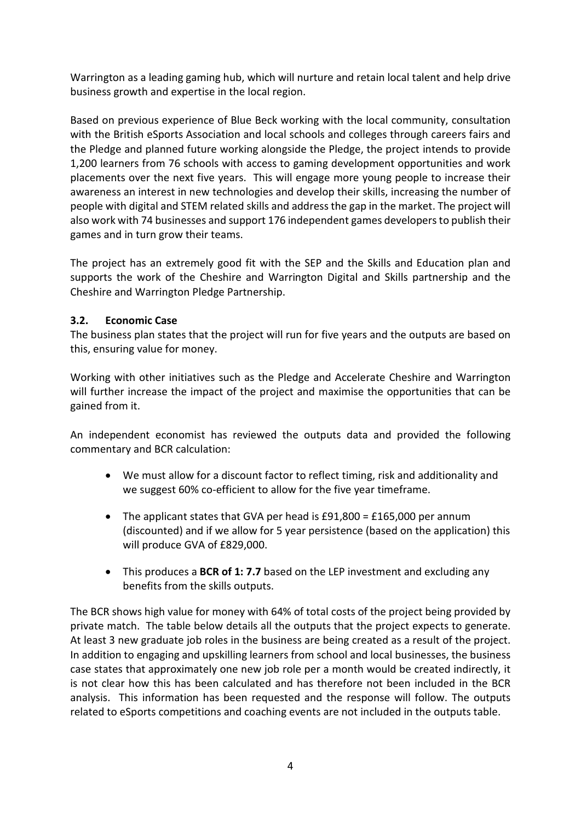Warrington as a leading gaming hub, which will nurture and retain local talent and help drive business growth and expertise in the local region.

Based on previous experience of Blue Beck working with the local community, consultation with the British eSports Association and local schools and colleges through careers fairs and the Pledge and planned future working alongside the Pledge, the project intends to provide 1,200 learners from 76 schools with access to gaming development opportunities and work placements over the next five years. This will engage more young people to increase their awareness an interest in new technologies and develop their skills, increasing the number of people with digital and STEM related skills and address the gap in the market. The project will also work with 74 businesses and support 176 independent games developersto publish their games and in turn grow their teams.

The project has an extremely good fit with the SEP and the Skills and Education plan and supports the work of the Cheshire and Warrington Digital and Skills partnership and the Cheshire and Warrington Pledge Partnership.

## **3.2. Economic Case**

The business plan states that the project will run for five years and the outputs are based on this, ensuring value for money.

Working with other initiatives such as the Pledge and Accelerate Cheshire and Warrington will further increase the impact of the project and maximise the opportunities that can be gained from it.

An independent economist has reviewed the outputs data and provided the following commentary and BCR calculation:

- We must allow for a discount factor to reflect timing, risk and additionality and we suggest 60% co-efficient to allow for the five year timeframe.
- The applicant states that GVA per head is £91,800 = £165,000 per annum (discounted) and if we allow for 5 year persistence (based on the application) this will produce GVA of £829,000.
- This produces a **BCR of 1: 7.7** based on the LEP investment and excluding any benefits from the skills outputs.

The BCR shows high value for money with 64% of total costs of the project being provided by private match. The table below details all the outputs that the project expects to generate. At least 3 new graduate job roles in the business are being created as a result of the project. In addition to engaging and upskilling learners from school and local businesses, the business case states that approximately one new job role per a month would be created indirectly, it is not clear how this has been calculated and has therefore not been included in the BCR analysis. This information has been requested and the response will follow. The outputs related to eSports competitions and coaching events are not included in the outputs table.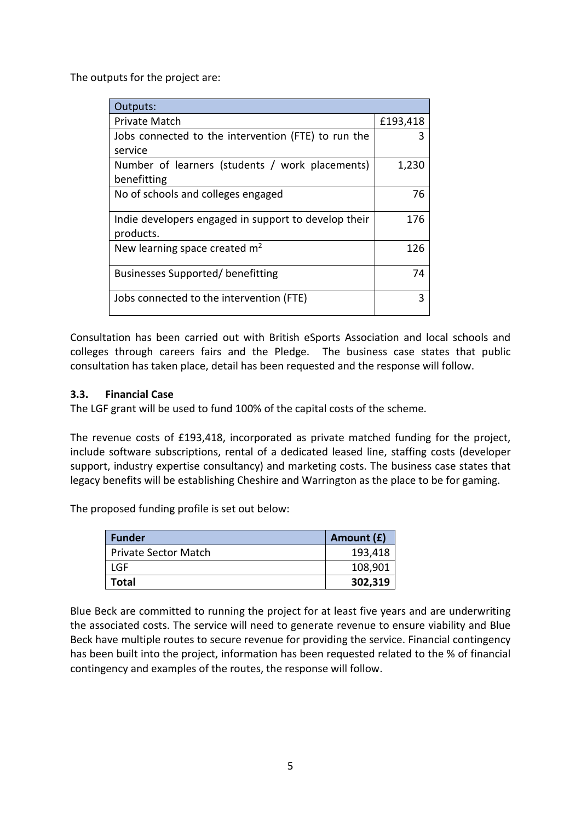The outputs for the project are:

| Outputs:                                             |          |
|------------------------------------------------------|----------|
| Private Match                                        | £193,418 |
| Jobs connected to the intervention (FTE) to run the  | 3        |
| service                                              |          |
| Number of learners (students / work placements)      | 1,230    |
| benefitting                                          |          |
| No of schools and colleges engaged                   | 76       |
| Indie developers engaged in support to develop their | 176      |
| products.                                            |          |
| New learning space created $m2$                      | 126      |
| Businesses Supported/benefitting                     | 74       |
| Jobs connected to the intervention (FTE)             | 3        |

Consultation has been carried out with British eSports Association and local schools and colleges through careers fairs and the Pledge. The business case states that public consultation has taken place, detail has been requested and the response will follow.

#### **3.3. Financial Case**

The LGF grant will be used to fund 100% of the capital costs of the scheme.

The revenue costs of £193,418, incorporated as private matched funding for the project, include software subscriptions, rental of a dedicated leased line, staffing costs (developer support, industry expertise consultancy) and marketing costs. The business case states that legacy benefits will be establishing Cheshire and Warrington as the place to be for gaming.

The proposed funding profile is set out below:

| <b>Funder</b>               | Amount (£) |
|-----------------------------|------------|
| <b>Private Sector Match</b> | 193,418    |
| LGF                         | 108,901    |
| Total                       | 302,319    |

Blue Beck are committed to running the project for at least five years and are underwriting the associated costs. The service will need to generate revenue to ensure viability and Blue Beck have multiple routes to secure revenue for providing the service. Financial contingency has been built into the project, information has been requested related to the % of financial contingency and examples of the routes, the response will follow.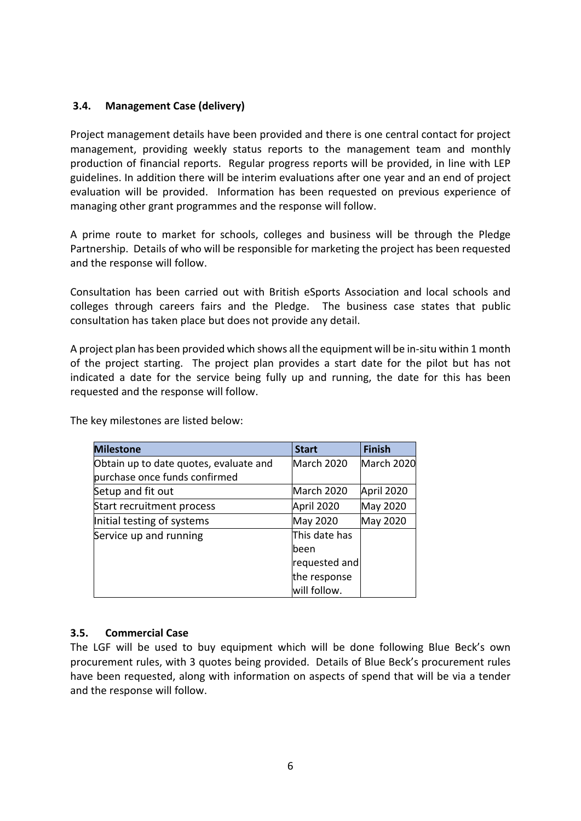#### **3.4. Management Case (delivery)**

Project management details have been provided and there is one central contact for project management, providing weekly status reports to the management team and monthly production of financial reports. Regular progress reports will be provided, in line with LEP guidelines. In addition there will be interim evaluations after one year and an end of project evaluation will be provided. Information has been requested on previous experience of managing other grant programmes and the response will follow.

A prime route to market for schools, colleges and business will be through the Pledge Partnership. Details of who will be responsible for marketing the project has been requested and the response will follow.

Consultation has been carried out with British eSports Association and local schools and colleges through careers fairs and the Pledge. The business case states that public consultation has taken place but does not provide any detail.

A project plan has been provided which shows all the equipment will be in-situ within 1 month of the project starting. The project plan provides a start date for the pilot but has not indicated a date for the service being fully up and running, the date for this has been requested and the response will follow.

| <b>Milestone</b>                       | <b>Start</b>  | <b>Finish</b> |
|----------------------------------------|---------------|---------------|
| Obtain up to date quotes, evaluate and | March 2020    | March 2020    |
| purchase once funds confirmed          |               |               |
| Setup and fit out                      | March 2020    | April 2020    |
| Start recruitment process              | April 2020    | May 2020      |
| Initial testing of systems             | May 2020      | May 2020      |
| Service up and running                 | This date has |               |
|                                        | lbeen         |               |
|                                        | requested and |               |
|                                        | the response  |               |
|                                        | will follow.  |               |

The key milestones are listed below:

#### **3.5. Commercial Case**

The LGF will be used to buy equipment which will be done following Blue Beck's own procurement rules, with 3 quotes being provided. Details of Blue Beck's procurement rules have been requested, along with information on aspects of spend that will be via a tender and the response will follow.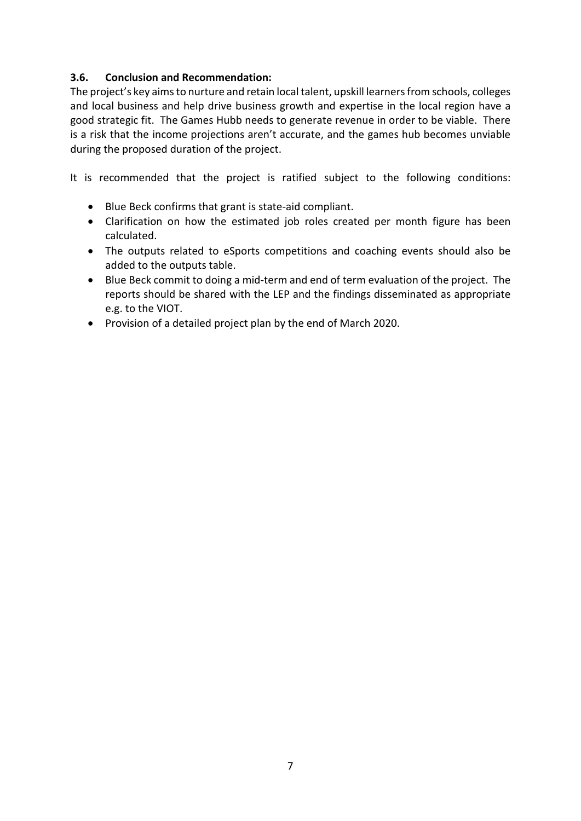## **3.6. Conclusion and Recommendation:**

The project's key aims to nurture and retain local talent, upskill learners from schools, colleges and local business and help drive business growth and expertise in the local region have a good strategic fit. The Games Hubb needs to generate revenue in order to be viable. There is a risk that the income projections aren't accurate, and the games hub becomes unviable during the proposed duration of the project.

It is recommended that the project is ratified subject to the following conditions:

- Blue Beck confirms that grant is state-aid compliant.
- Clarification on how the estimated job roles created per month figure has been calculated.
- The outputs related to eSports competitions and coaching events should also be added to the outputs table.
- Blue Beck commit to doing a mid-term and end of term evaluation of the project. The reports should be shared with the LEP and the findings disseminated as appropriate e.g. to the VIOT.
- Provision of a detailed project plan by the end of March 2020.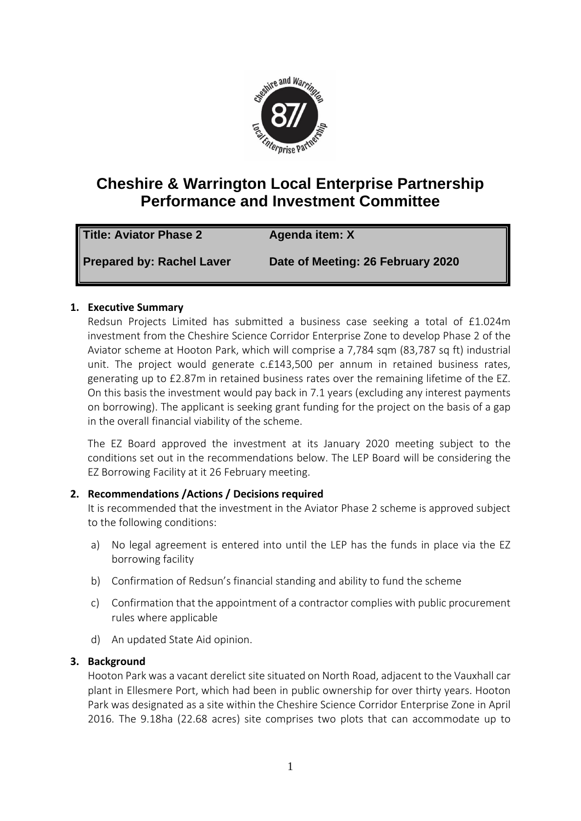

# **Cheshire & Warrington Local Enterprise Partnership Performance and Investment Committee**

| Title: Aviator Phase 2    | Agenda item: X                    |
|---------------------------|-----------------------------------|
| Prepared by: Rachel Laver | Date of Meeting: 26 February 2020 |

## **1. Executive Summary**

Redsun Projects Limited has submitted a business case seeking a total of £1.024m investment from the Cheshire Science Corridor Enterprise Zone to develop Phase 2 of the Aviator scheme at Hooton Park, which will comprise a 7,784 sqm (83,787 sq ft) industrial unit. The project would generate c.£143,500 per annum in retained business rates, generating up to £2.87m in retained business rates over the remaining lifetime of the EZ. On this basis the investment would pay back in 7.1 years (excluding any interest payments on borrowing). The applicant is seeking grant funding for the project on the basis of a gap in the overall financial viability of the scheme.

The EZ Board approved the investment at its January 2020 meeting subject to the conditions set out in the recommendations below. The LEP Board will be considering the EZ Borrowing Facility at it 26 February meeting.

## **2. Recommendations /Actions / Decisions required**

It is recommended that the investment in the Aviator Phase 2 scheme is approved subject to the following conditions:

- a) No legal agreement is entered into until the LEP has the funds in place via the EZ borrowing facility
- b) Confirmation of Redsun's financial standing and ability to fund the scheme
- c) Confirmation that the appointment of a contractor complies with public procurement rules where applicable
- d) An updated State Aid opinion.

## **3. Background**

Hooton Park was a vacant derelict site situated on North Road, adjacent to the Vauxhall car plant in Ellesmere Port, which had been in public ownership for over thirty years. Hooton Park was designated as a site within the Cheshire Science Corridor Enterprise Zone in April 2016. The 9.18ha (22.68 acres) site comprises two plots that can accommodate up to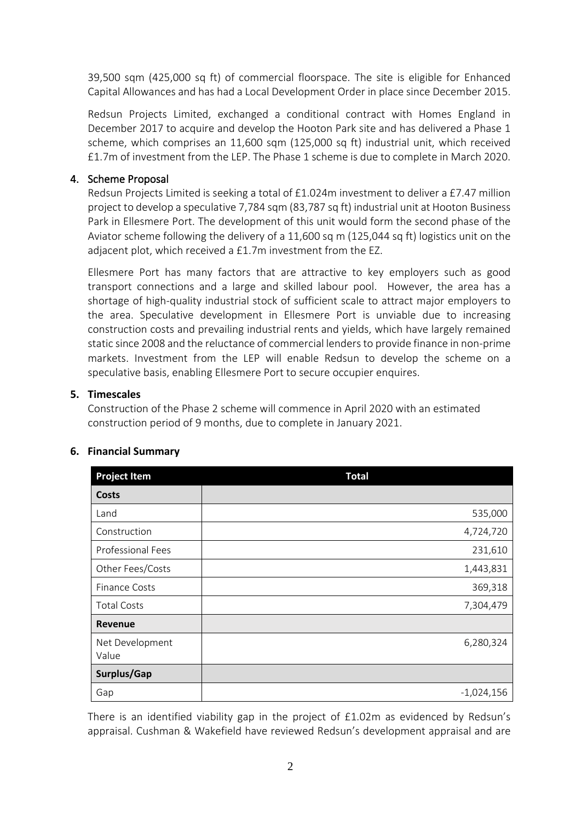39,500 sqm (425,000 sq ft) of commercial floorspace. The site is eligible for Enhanced Capital Allowances and has had a Local Development Order in place since December 2015.

Redsun Projects Limited, exchanged a conditional contract with Homes England in December 2017 to acquire and develop the Hooton Park site and has delivered a Phase 1 scheme, which comprises an 11,600 sqm (125,000 sq ft) industrial unit, which received £1.7m of investment from the LEP. The Phase 1 scheme is due to complete in March 2020.

## 4. Scheme Proposal

Redsun Projects Limited is seeking a total of £1.024m investment to deliver a £7.47 million project to develop a speculative 7,784 sqm (83,787 sq ft) industrial unit at Hooton Business Park in Ellesmere Port. The development of this unit would form the second phase of the Aviator scheme following the delivery of a 11,600 sq m (125,044 sq ft) logistics unit on the adjacent plot, which received a £1.7m investment from the EZ.

Ellesmere Port has many factors that are attractive to key employers such as good transport connections and a large and skilled labour pool. However, the area has a shortage of high-quality industrial stock of sufficient scale to attract major employers to the area. Speculative development in Ellesmere Port is unviable due to increasing construction costs and prevailing industrial rents and yields, which have largely remained static since 2008 and the reluctance of commercial lenders to provide finance in non-prime markets. Investment from the LEP will enable Redsun to develop the scheme on a speculative basis, enabling Ellesmere Port to secure occupier enquires.

#### **5. Timescales**

Construction of the Phase 2 scheme will commence in April 2020 with an estimated construction period of 9 months, due to complete in January 2021.

| <b>Project Item</b>      | <b>Total</b> |
|--------------------------|--------------|
| Costs                    |              |
| Land                     | 535,000      |
| Construction             | 4,724,720    |
| Professional Fees        | 231,610      |
| Other Fees/Costs         | 1,443,831    |
| <b>Finance Costs</b>     | 369,318      |
| <b>Total Costs</b>       | 7,304,479    |
| Revenue                  |              |
| Net Development<br>Value | 6,280,324    |
| Surplus/Gap              |              |
| Gap                      | $-1,024,156$ |

#### **6. Financial Summary**

There is an identified viability gap in the project of £1.02m as evidenced by Redsun's appraisal. Cushman & Wakefield have reviewed Redsun's development appraisal and are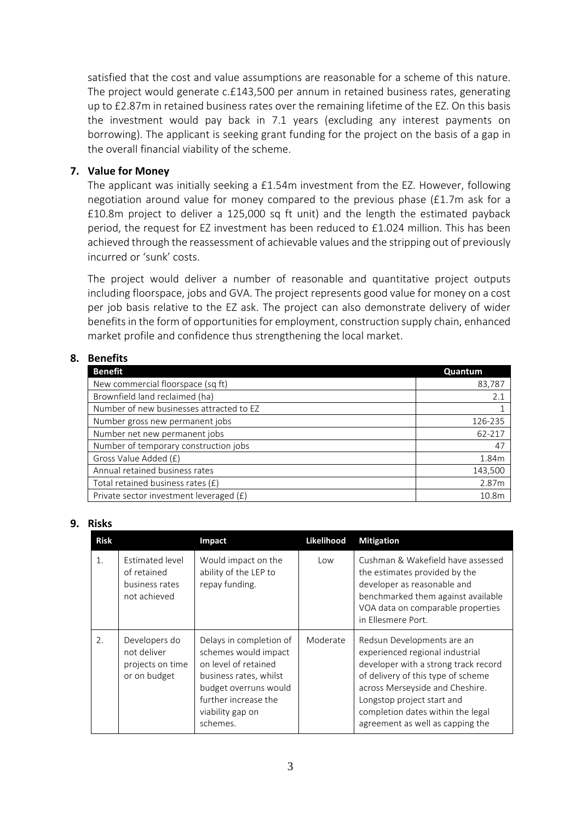satisfied that the cost and value assumptions are reasonable for a scheme of this nature. The project would generate c.£143,500 per annum in retained business rates, generating up to £2.87m in retained business rates over the remaining lifetime of the EZ. On this basis the investment would pay back in 7.1 years (excluding any interest payments on borrowing). The applicant is seeking grant funding for the project on the basis of a gap in the overall financial viability of the scheme.

## **7. Value for Money**

The applicant was initially seeking a £1.54m investment from the EZ. However, following negotiation around value for money compared to the previous phase (£1.7m ask for a £10.8m project to deliver a 125,000 sq ft unit) and the length the estimated payback period, the request for EZ investment has been reduced to £1.024 million. This has been achieved through the reassessment of achievable values and the stripping out of previously incurred or 'sunk' costs.

The project would deliver a number of reasonable and quantitative project outputs including floorspace, jobs and GVA. The project represents good value for money on a cost per job basis relative to the EZ ask. The project can also demonstrate delivery of wider benefits in the form of opportunities for employment, construction supply chain, enhanced market profile and confidence thus strengthening the local market.

## **8. Benefits**

| <b>Benefit</b>                           | Quantum |
|------------------------------------------|---------|
| New commercial floorspace (sq ft)        | 83,787  |
| Brownfield land reclaimed (ha)           | 2.1     |
| Number of new businesses attracted to EZ |         |
| Number gross new permanent jobs          | 126-235 |
| Number net new permanent jobs            | 62-217  |
| Number of temporary construction jobs    | 47      |
| Gross Value Added (£)                    | 1.84m   |
| Annual retained business rates           | 143,500 |
| Total retained business rates (£)        | 2.87m   |
| Private sector investment leveraged (£)  | 10.8m   |

#### **9. Risks**

| <b>Risk</b> |                                                                  | Impact                                                                                                                                                                             | Likelihood | <b>Mitigation</b>                                                                                                                                                                                                                                                                     |
|-------------|------------------------------------------------------------------|------------------------------------------------------------------------------------------------------------------------------------------------------------------------------------|------------|---------------------------------------------------------------------------------------------------------------------------------------------------------------------------------------------------------------------------------------------------------------------------------------|
| 1.          | Estimated level<br>of retained<br>business rates<br>not achieved | Would impact on the<br>ability of the LEP to<br>repay funding.                                                                                                                     | Low        | Cushman & Wakefield have assessed<br>the estimates provided by the<br>developer as reasonable and<br>benchmarked them against available<br>VOA data on comparable properties<br>in Ellesmere Port.                                                                                    |
| 2.          | Developers do<br>not deliver<br>projects on time<br>or on budget | Delays in completion of<br>schemes would impact<br>on level of retained<br>business rates, whilst<br>budget overruns would<br>further increase the<br>viability gap on<br>schemes. | Moderate   | Redsun Developments are an<br>experienced regional industrial<br>developer with a strong track record<br>of delivery of this type of scheme<br>across Merseyside and Cheshire.<br>Longstop project start and<br>completion dates within the legal<br>agreement as well as capping the |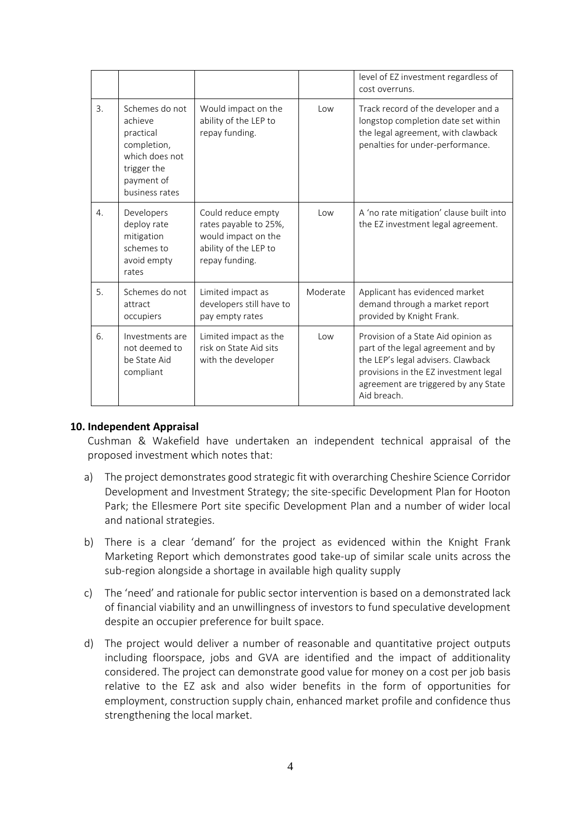|                  |                                                                                                                        |                                                                                                               |          | level of EZ investment regardless of<br>cost overruns.                                                                                                                                                          |
|------------------|------------------------------------------------------------------------------------------------------------------------|---------------------------------------------------------------------------------------------------------------|----------|-----------------------------------------------------------------------------------------------------------------------------------------------------------------------------------------------------------------|
| 3.               | Schemes do not<br>achieve<br>practical<br>completion,<br>which does not<br>trigger the<br>payment of<br>business rates | Would impact on the<br>ability of the LEP to<br>repay funding.                                                | Low      | Track record of the developer and a<br>longstop completion date set within<br>the legal agreement, with clawback<br>penalties for under-performance.                                                            |
| $\overline{4}$ . | Developers<br>deploy rate<br>mitigation<br>schemes to<br>avoid empty<br>rates                                          | Could reduce empty<br>rates payable to 25%,<br>would impact on the<br>ability of the LEP to<br>repay funding. | Low      | A 'no rate mitigation' clause built into<br>the EZ investment legal agreement.                                                                                                                                  |
| 5.               | Schemes do not<br>attract<br>occupiers                                                                                 | Limited impact as<br>developers still have to<br>pay empty rates                                              | Moderate | Applicant has evidenced market<br>demand through a market report<br>provided by Knight Frank.                                                                                                                   |
| 6.               | Investments are<br>not deemed to<br>be State Aid<br>compliant                                                          | Limited impact as the<br>risk on State Aid sits<br>with the developer                                         | $\log$   | Provision of a State Aid opinion as<br>part of the legal agreement and by<br>the LEP's legal advisers. Clawback<br>provisions in the EZ investment legal<br>agreement are triggered by any State<br>Aid breach. |

#### **10. Independent Appraisal**

Cushman & Wakefield have undertaken an independent technical appraisal of the proposed investment which notes that:

- a) The project demonstrates good strategic fit with overarching Cheshire Science Corridor Development and Investment Strategy; the site-specific Development Plan for Hooton Park; the Ellesmere Port site specific Development Plan and a number of wider local and national strategies.
- b) There is a clear 'demand' for the project as evidenced within the Knight Frank Marketing Report which demonstrates good take-up of similar scale units across the sub-region alongside a shortage in available high quality supply
- c) The 'need' and rationale for public sector intervention is based on a demonstrated lack of financial viability and an unwillingness of investors to fund speculative development despite an occupier preference for built space.
- d) The project would deliver a number of reasonable and quantitative project outputs including floorspace, jobs and GVA are identified and the impact of additionality considered. The project can demonstrate good value for money on a cost per job basis relative to the EZ ask and also wider benefits in the form of opportunities for employment, construction supply chain, enhanced market profile and confidence thus strengthening the local market.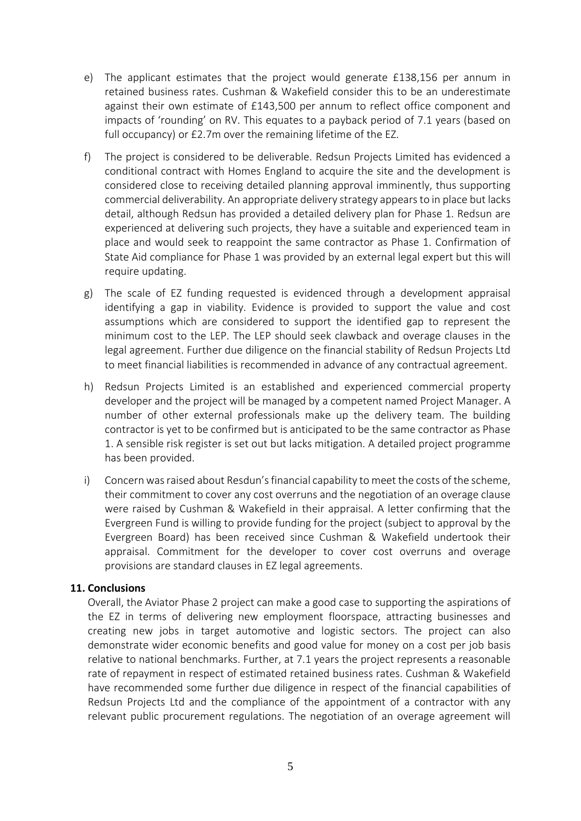- e) The applicant estimates that the project would generate £138,156 per annum in retained business rates. Cushman & Wakefield consider this to be an underestimate against their own estimate of £143,500 per annum to reflect office component and impacts of 'rounding' on RV. This equates to a payback period of 7.1 years (based on full occupancy) or £2.7m over the remaining lifetime of the EZ.
- f) The project is considered to be deliverable. Redsun Projects Limited has evidenced a conditional contract with Homes England to acquire the site and the development is considered close to receiving detailed planning approval imminently, thus supporting commercial deliverability. An appropriate delivery strategy appears to in place but lacks detail, although Redsun has provided a detailed delivery plan for Phase 1. Redsun are experienced at delivering such projects, they have a suitable and experienced team in place and would seek to reappoint the same contractor as Phase 1. Confirmation of State Aid compliance for Phase 1 was provided by an external legal expert but this will require updating.
- g) The scale of EZ funding requested is evidenced through a development appraisal identifying a gap in viability. Evidence is provided to support the value and cost assumptions which are considered to support the identified gap to represent the minimum cost to the LEP. The LEP should seek clawback and overage clauses in the legal agreement. Further due diligence on the financial stability of Redsun Projects Ltd to meet financial liabilities is recommended in advance of any contractual agreement.
- h) Redsun Projects Limited is an established and experienced commercial property developer and the project will be managed by a competent named Project Manager. A number of other external professionals make up the delivery team. The building contractor is yet to be confirmed but is anticipated to be the same contractor as Phase 1. A sensible risk register is set out but lacks mitigation. A detailed project programme has been provided.
- i) Concern was raised about Resdun's financial capability to meet the costs of the scheme, their commitment to cover any cost overruns and the negotiation of an overage clause were raised by Cushman & Wakefield in their appraisal. A letter confirming that the Evergreen Fund is willing to provide funding for the project (subject to approval by the Evergreen Board) has been received since Cushman & Wakefield undertook their appraisal. Commitment for the developer to cover cost overruns and overage provisions are standard clauses in EZ legal agreements.

#### **11. Conclusions**

Overall, the Aviator Phase 2 project can make a good case to supporting the aspirations of the EZ in terms of delivering new employment floorspace, attracting businesses and creating new jobs in target automotive and logistic sectors. The project can also demonstrate wider economic benefits and good value for money on a cost per job basis relative to national benchmarks. Further, at 7.1 years the project represents a reasonable rate of repayment in respect of estimated retained business rates. Cushman & Wakefield have recommended some further due diligence in respect of the financial capabilities of Redsun Projects Ltd and the compliance of the appointment of a contractor with any relevant public procurement regulations. The negotiation of an overage agreement will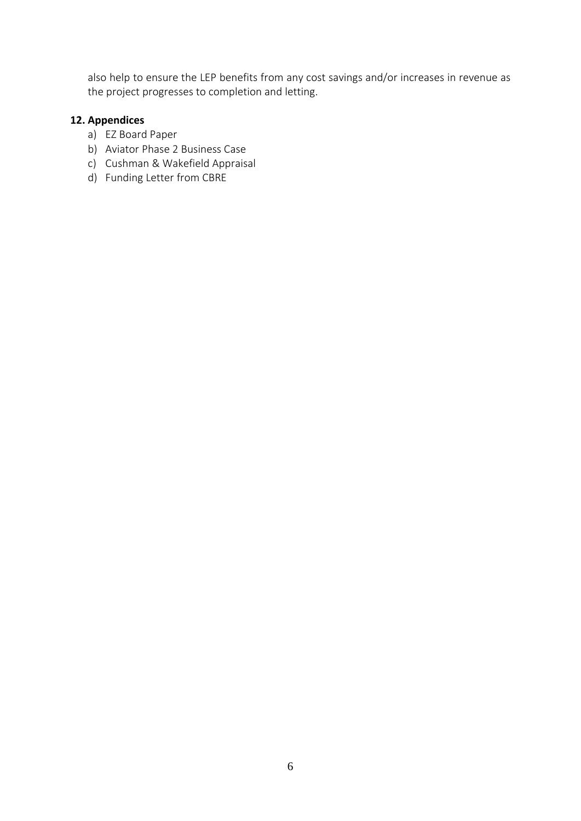also help to ensure the LEP benefits from any cost savings and/or increases in revenue as the project progresses to completion and letting.

## **12. Appendices**

- a) EZ Board Paper
- b) Aviator Phase 2 Business Case
- c) Cushman & Wakefield Appraisal
- d) Funding Letter from CBRE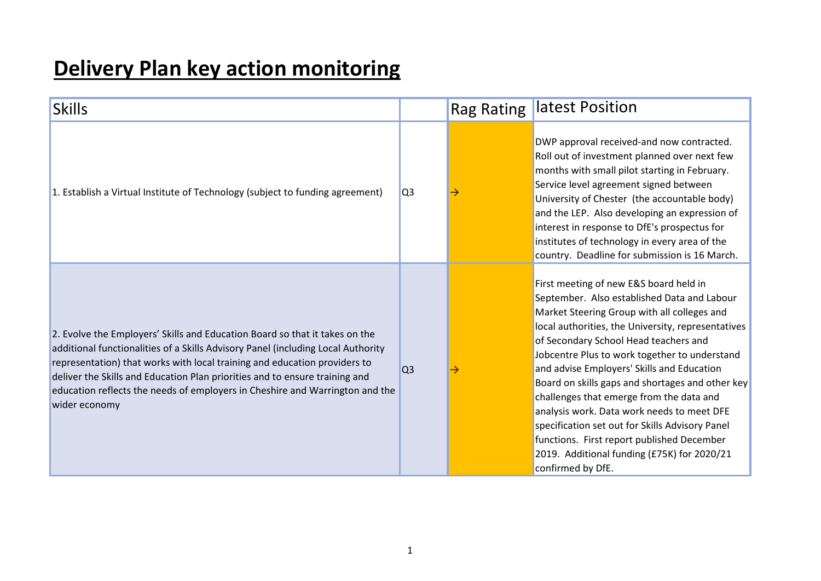# **Delivery Plan key action monitoring**

| <b>Skills</b>                                                                                                                                                                                                                                                                                                                                                                                                                |                | <b>Rag Rating</b> | latest Position                                                                                                                                                                                                                                                                                                                                                                                                                                                                                                                                                                                                                                       |
|------------------------------------------------------------------------------------------------------------------------------------------------------------------------------------------------------------------------------------------------------------------------------------------------------------------------------------------------------------------------------------------------------------------------------|----------------|-------------------|-------------------------------------------------------------------------------------------------------------------------------------------------------------------------------------------------------------------------------------------------------------------------------------------------------------------------------------------------------------------------------------------------------------------------------------------------------------------------------------------------------------------------------------------------------------------------------------------------------------------------------------------------------|
| 1. Establish a Virtual Institute of Technology (subject to funding agreement)                                                                                                                                                                                                                                                                                                                                                | Q <sub>3</sub> |                   | DWP approval received-and now contracted.<br>Roll out of investment planned over next few<br>months with small pilot starting in February.<br>Service level agreement signed between<br>University of Chester (the accountable body)<br>and the LEP. Also developing an expression of<br>interest in response to DfE's prospectus for<br>institutes of technology in every area of the<br>country. Deadline for submission is 16 March.                                                                                                                                                                                                               |
| 2. Evolve the Employers' Skills and Education Board so that it takes on the<br>additional functionalities of a Skills Advisory Panel (including Local Authority<br>representation) that works with local training and education providers to<br>deliver the Skills and Education Plan priorities and to ensure training and<br>education reflects the needs of employers in Cheshire and Warrington and the<br>wider economy | Q <sub>3</sub> |                   | First meeting of new E&S board held in<br>September. Also established Data and Labour<br>Market Steering Group with all colleges and<br>local authorities, the University, representatives<br>of Secondary School Head teachers and<br>Jobcentre Plus to work together to understand<br>and advise Employers' Skills and Education<br>Board on skills gaps and shortages and other key<br>challenges that emerge from the data and<br>analysis work. Data work needs to meet DFE<br>specification set out for Skills Advisory Panel<br>functions. First report published December<br>2019. Additional funding (£75K) for 2020/21<br>confirmed by DfE. |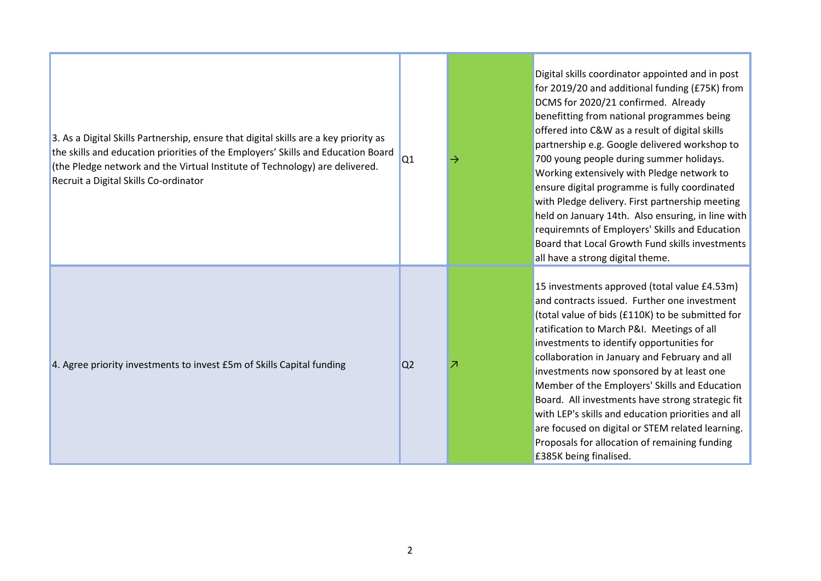| 3. As a Digital Skills Partnership, ensure that digital skills are a key priority as<br>the skills and education priorities of the Employers' Skills and Education Board<br>(the Pledge network and the Virtual Institute of Technology) are delivered.<br>Recruit a Digital Skills Co-ordinator | Q1             |   | Digital skills coordinator appointed and in post<br>for 2019/20 and additional funding (£75K) from<br>DCMS for 2020/21 confirmed. Already<br>benefitting from national programmes being<br>offered into C&W as a result of digital skills<br>partnership e.g. Google delivered workshop to<br>700 young people during summer holidays.<br>Working extensively with Pledge network to<br>ensure digital programme is fully coordinated<br>with Pledge delivery. First partnership meeting<br>held on January 14th. Also ensuring, in line with<br>requiremnts of Employers' Skills and Education<br>Board that Local Growth Fund skills investments<br>all have a strong digital theme. |
|--------------------------------------------------------------------------------------------------------------------------------------------------------------------------------------------------------------------------------------------------------------------------------------------------|----------------|---|----------------------------------------------------------------------------------------------------------------------------------------------------------------------------------------------------------------------------------------------------------------------------------------------------------------------------------------------------------------------------------------------------------------------------------------------------------------------------------------------------------------------------------------------------------------------------------------------------------------------------------------------------------------------------------------|
| 4. Agree priority investments to invest £5m of Skills Capital funding                                                                                                                                                                                                                            | Q <sub>2</sub> | z | 15 investments approved (total value £4.53m)<br>and contracts issued. Further one investment<br>(total value of bids (£110K) to be submitted for<br>ratification to March P&I. Meetings of all<br>investments to identify opportunities for<br>collaboration in January and February and all<br>investments now sponsored by at least one<br>Member of the Employers' Skills and Education<br>Board. All investments have strong strategic fit<br>with LEP's skills and education priorities and all<br>are focused on digital or STEM related learning.<br>Proposals for allocation of remaining funding<br>£385K being finalised.                                                    |

m.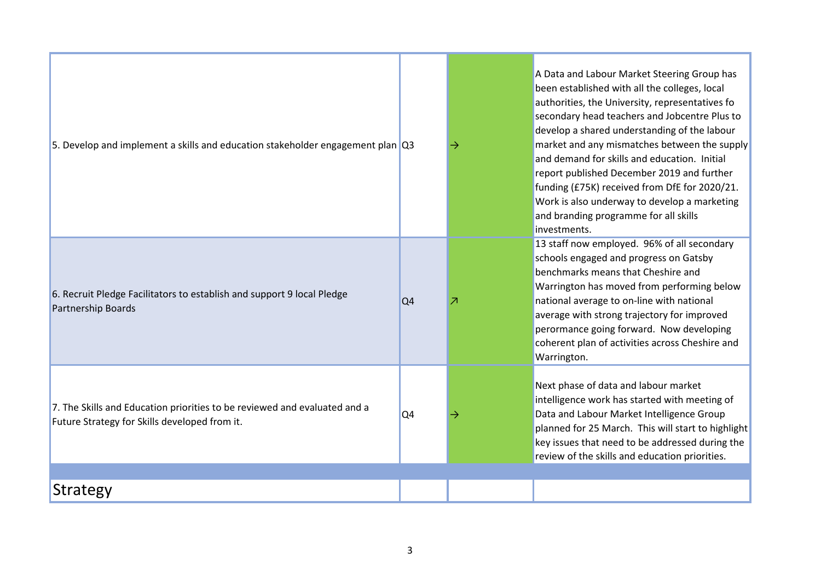| 5. Develop and implement a skills and education stakeholder engagement plan Q3                                             |                | → | A Data and Labour Market Steering Group has<br>been established with all the colleges, local<br>authorities, the University, representatives fo<br>secondary head teachers and Jobcentre Plus to<br>develop a shared understanding of the labour<br>market and any mismatches between the supply<br>and demand for skills and education. Initial<br>report published December 2019 and further<br>funding (£75K) received from DfE for 2020/21.<br>Work is also underway to develop a marketing<br>and branding programme for all skills<br>investments. |
|----------------------------------------------------------------------------------------------------------------------------|----------------|---|----------------------------------------------------------------------------------------------------------------------------------------------------------------------------------------------------------------------------------------------------------------------------------------------------------------------------------------------------------------------------------------------------------------------------------------------------------------------------------------------------------------------------------------------------------|
| 6. Recruit Pledge Facilitators to establish and support 9 local Pledge<br><b>Partnership Boards</b>                        | Q <sub>4</sub> | Z | 13 staff now employed. 96% of all secondary<br>schools engaged and progress on Gatsby<br>benchmarks means that Cheshire and<br>Warrington has moved from performing below<br>national average to on-line with national<br>average with strong trajectory for improved<br>perormance going forward. Now developing<br>coherent plan of activities across Cheshire and<br>Warrington.                                                                                                                                                                      |
| 7. The Skills and Education priorities to be reviewed and evaluated and a<br>Future Strategy for Skills developed from it. | Q <sub>4</sub> | → | Next phase of data and labour market<br>intelligence work has started with meeting of<br>Data and Labour Market Intelligence Group<br>planned for 25 March. This will start to highlight<br>key issues that need to be addressed during the<br>review of the skills and education priorities.                                                                                                                                                                                                                                                            |
| <b>Strategy</b>                                                                                                            |                |   |                                                                                                                                                                                                                                                                                                                                                                                                                                                                                                                                                          |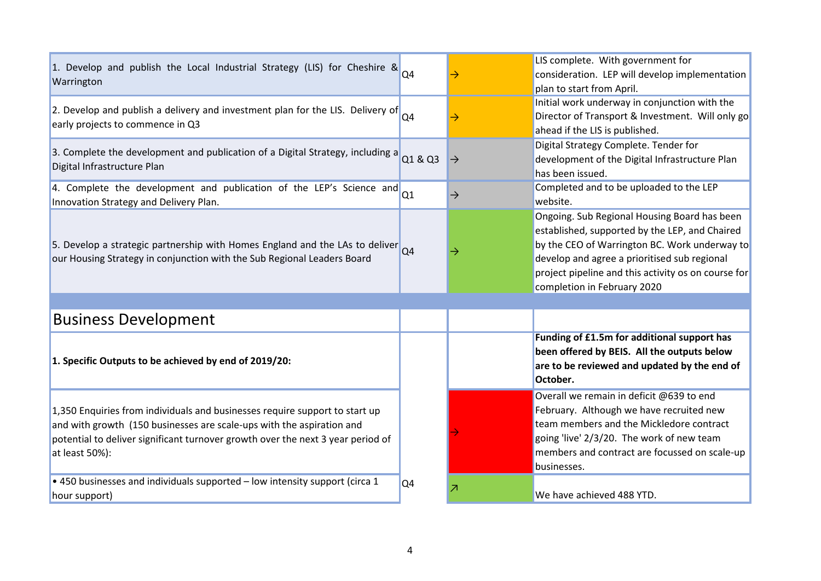| 1. Develop and publish the Local Industrial Strategy (LIS) for Cheshire & $_{\text{Q4}}$<br>Warrington                                                                                                                                                    |                | →             | LIS complete. With government for<br>consideration. LEP will develop implementation<br>plan to start from April.                                                                                                                                                                      |
|-----------------------------------------------------------------------------------------------------------------------------------------------------------------------------------------------------------------------------------------------------------|----------------|---------------|---------------------------------------------------------------------------------------------------------------------------------------------------------------------------------------------------------------------------------------------------------------------------------------|
| 2. Develop and publish a delivery and investment plan for the LIS. Delivery of<br>early projects to commence in Q3                                                                                                                                        | Q4             | $\rightarrow$ | Initial work underway in conjunction with the<br>Director of Transport & Investment. Will only go<br>ahead if the LIS is published.                                                                                                                                                   |
| 3. Complete the development and publication of a Digital Strategy, including a<br>Digital Infrastructure Plan                                                                                                                                             | Q1 & Q3        | $\mapsto$     | Digital Strategy Complete. Tender for<br>development of the Digital Infrastructure Plan<br>has been issued.                                                                                                                                                                           |
| 4. Complete the development and publication of the LEP's Science and<br>Innovation Strategy and Delivery Plan.                                                                                                                                            | Q1             | $\rightarrow$ | Completed and to be uploaded to the LEP<br>website.                                                                                                                                                                                                                                   |
| 5. Develop a strategic partnership with Homes England and the LAs to deliver<br>our Housing Strategy in conjunction with the Sub Regional Leaders Board                                                                                                   | Q4             | →             | Ongoing. Sub Regional Housing Board has been<br>established, supported by the LEP, and Chaired<br>by the CEO of Warrington BC. Work underway to<br>develop and agree a prioritised sub regional<br>project pipeline and this activity os on course for<br>completion in February 2020 |
|                                                                                                                                                                                                                                                           |                |               |                                                                                                                                                                                                                                                                                       |
| <b>Business Development</b>                                                                                                                                                                                                                               |                |               |                                                                                                                                                                                                                                                                                       |
| 1. Specific Outputs to be achieved by end of 2019/20:                                                                                                                                                                                                     |                |               | Funding of £1.5m for additional support has<br>been offered by BEIS. All the outputs below<br>are to be reviewed and updated by the end of<br>October.                                                                                                                                |
| 1,350 Enquiries from individuals and businesses require support to start up<br>and with growth (150 businesses are scale-ups with the aspiration and<br>potential to deliver significant turnover growth over the next 3 year period of<br>at least 50%): |                |               | Overall we remain in deficit @639 to end<br>February. Although we have recruited new<br>team members and the Mickledore contract<br>going 'live' 2/3/20. The work of new team<br>members and contract are focussed on scale-up<br>businesses.                                         |
| • 450 businesses and individuals supported - low intensity support (circa 1<br>hour support)                                                                                                                                                              | Q <sub>4</sub> | z             | We have achieved 488 YTD.                                                                                                                                                                                                                                                             |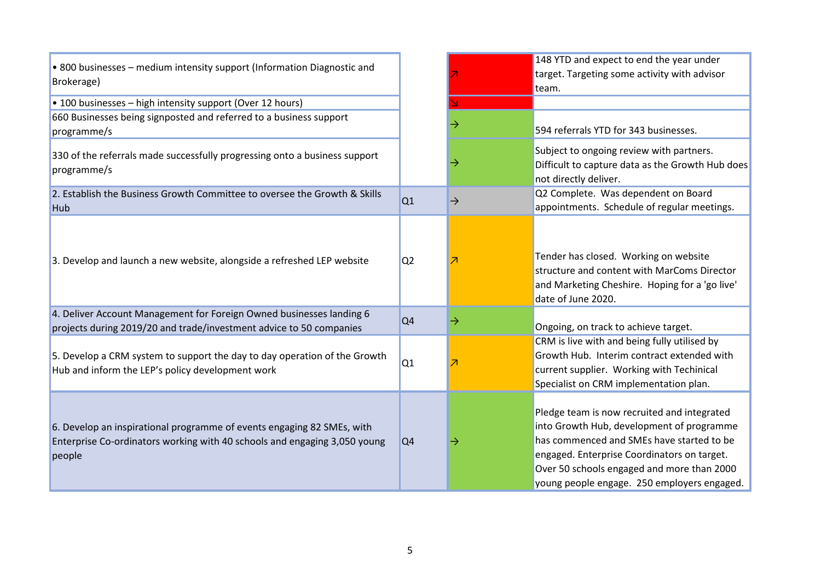| • 800 businesses - medium intensity support (Information Diagnostic and<br>Brokerage)                                                                         |                |               | 148 YTD and expect to end the year under<br>target. Targeting some activity with advisor<br>team.                                                                                                                                                                                 |
|---------------------------------------------------------------------------------------------------------------------------------------------------------------|----------------|---------------|-----------------------------------------------------------------------------------------------------------------------------------------------------------------------------------------------------------------------------------------------------------------------------------|
| • 100 businesses - high intensity support (Over 12 hours)                                                                                                     |                |               |                                                                                                                                                                                                                                                                                   |
| 660 Businesses being signposted and referred to a business support<br>programme/s                                                                             |                |               | 594 referrals YTD for 343 businesses.                                                                                                                                                                                                                                             |
| 330 of the referrals made successfully progressing onto a business support<br>programme/s                                                                     |                |               | Subject to ongoing review with partners.<br>Difficult to capture data as the Growth Hub does<br>not directly deliver.                                                                                                                                                             |
| 2. Establish the Business Growth Committee to oversee the Growth & Skills<br>Hub                                                                              | Q1             | $\rightarrow$ | Q2 Complete. Was dependent on Board<br>appointments. Schedule of regular meetings.                                                                                                                                                                                                |
| 3. Develop and launch a new website, alongside a refreshed LEP website                                                                                        | Q <sub>2</sub> |               | Tender has closed. Working on website<br>structure and content with MarComs Director<br>and Marketing Cheshire. Hoping for a 'go live'<br>date of June 2020.                                                                                                                      |
| 4. Deliver Account Management for Foreign Owned businesses landing 6<br>projects during 2019/20 and trade/investment advice to 50 companies                   | Q <sub>4</sub> | →             | Ongoing, on track to achieve target.                                                                                                                                                                                                                                              |
| 5. Develop a CRM system to support the day to day operation of the Growth<br>Hub and inform the LEP's policy development work                                 | Q1             |               | CRM is live with and being fully utilised by<br>Growth Hub. Interim contract extended with<br>current supplier. Working with Techinical<br>Specialist on CRM implementation plan.                                                                                                 |
| 6. Develop an inspirational programme of events engaging 82 SMEs, with<br>Enterprise Co-ordinators working with 40 schools and engaging 3,050 young<br>people | Q <sub>4</sub> |               | Pledge team is now recruited and integrated<br>into Growth Hub, development of programme<br>has commenced and SMEs have started to be<br>engaged. Enterprise Coordinators on target.<br>Over 50 schools engaged and more than 2000<br>young people engage. 250 employers engaged. |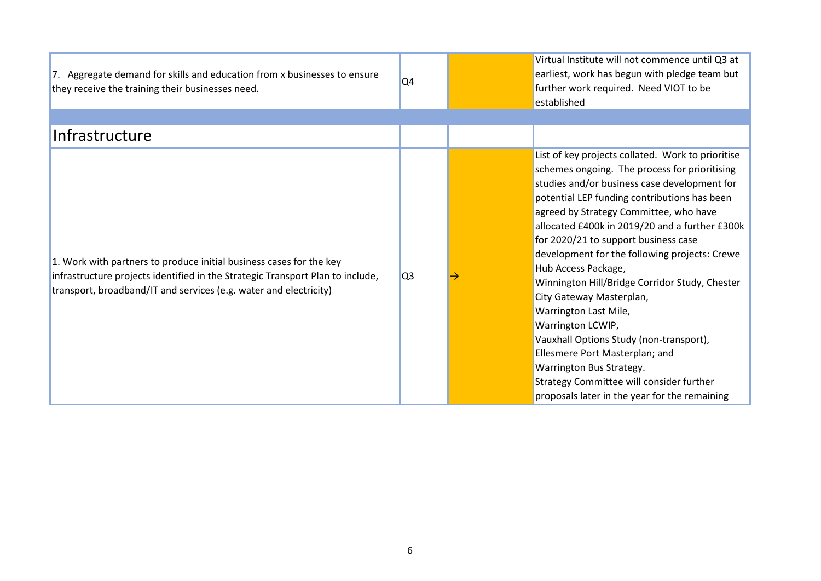| 7. Aggregate demand for skills and education from x businesses to ensure<br>they receive the training their businesses need.                                                                                               | Q <sub>4</sub> | Virtual Institute will not commence until Q3 at<br>earliest, work has begun with pledge team but<br>further work required. Need VIOT to be<br>established                                                                                                                                                                                                                                                                                                                                                                                                                                                                                                                                                                                        |
|----------------------------------------------------------------------------------------------------------------------------------------------------------------------------------------------------------------------------|----------------|--------------------------------------------------------------------------------------------------------------------------------------------------------------------------------------------------------------------------------------------------------------------------------------------------------------------------------------------------------------------------------------------------------------------------------------------------------------------------------------------------------------------------------------------------------------------------------------------------------------------------------------------------------------------------------------------------------------------------------------------------|
| Infrastructure                                                                                                                                                                                                             |                |                                                                                                                                                                                                                                                                                                                                                                                                                                                                                                                                                                                                                                                                                                                                                  |
| 1. Work with partners to produce initial business cases for the key<br>infrastructure projects identified in the Strategic Transport Plan to include,<br>transport, broadband/IT and services (e.g. water and electricity) | Q <sub>3</sub> | List of key projects collated. Work to prioritise<br>schemes ongoing. The process for prioritising<br>studies and/or business case development for<br>potential LEP funding contributions has been<br>agreed by Strategy Committee, who have<br>allocated £400k in 2019/20 and a further £300k<br>for 2020/21 to support business case<br>development for the following projects: Crewe<br>Hub Access Package,<br>Winnington Hill/Bridge Corridor Study, Chester<br>City Gateway Masterplan,<br>Warrington Last Mile,<br>Warrington LCWIP,<br>Vauxhall Options Study (non-transport),<br>Ellesmere Port Masterplan; and<br>Warrington Bus Strategy.<br>Strategy Committee will consider further<br>proposals later in the year for the remaining |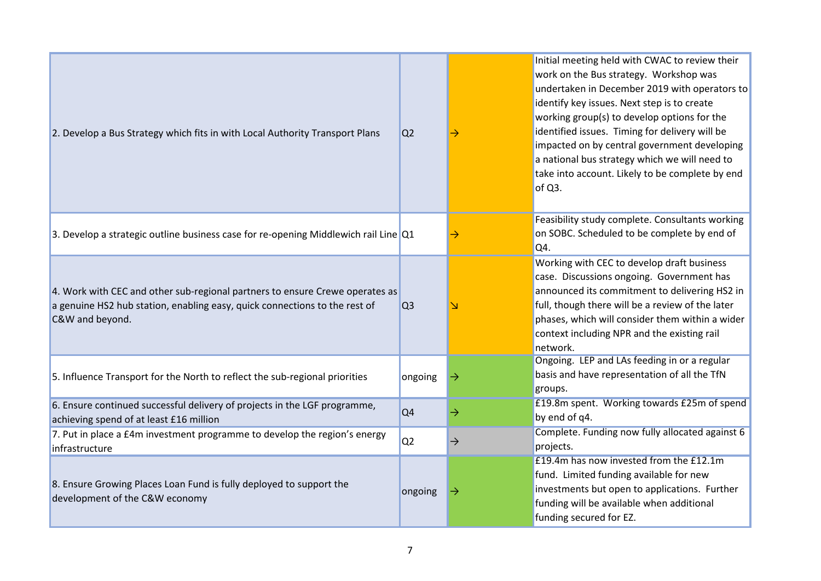| 2. Develop a Bus Strategy which fits in with Local Authority Transport Plans                                                                                                  | Q <sub>2</sub> |               | Initial meeting held with CWAC to review their<br>work on the Bus strategy. Workshop was<br>undertaken in December 2019 with operators to<br>identify key issues. Next step is to create<br>working group(s) to develop options for the<br>identified issues. Timing for delivery will be<br>impacted on by central government developing<br>a national bus strategy which we will need to<br>take into account. Likely to be complete by end<br>of Q3. |
|-------------------------------------------------------------------------------------------------------------------------------------------------------------------------------|----------------|---------------|---------------------------------------------------------------------------------------------------------------------------------------------------------------------------------------------------------------------------------------------------------------------------------------------------------------------------------------------------------------------------------------------------------------------------------------------------------|
| 3. Develop a strategic outline business case for re-opening Middlewich rail Line Q1                                                                                           |                |               | Feasibility study complete. Consultants working<br>on SOBC. Scheduled to be complete by end of<br>Q4.                                                                                                                                                                                                                                                                                                                                                   |
| 4. Work with CEC and other sub-regional partners to ensure Crewe operates as<br>a genuine HS2 hub station, enabling easy, quick connections to the rest of<br>C&W and beyond. | Q <sub>3</sub> |               | Working with CEC to develop draft business<br>case. Discussions ongoing. Government has<br>announced its commitment to delivering HS2 in<br>full, though there will be a review of the later<br>phases, which will consider them within a wider<br>context including NPR and the existing rail<br>network.                                                                                                                                              |
| 5. Influence Transport for the North to reflect the sub-regional priorities                                                                                                   | ongoing        | →             | Ongoing. LEP and LAs feeding in or a regular<br>basis and have representation of all the TfN<br>groups.                                                                                                                                                                                                                                                                                                                                                 |
| 6. Ensure continued successful delivery of projects in the LGF programme,<br>achieving spend of at least £16 million                                                          | Q <sub>4</sub> | $\rightarrow$ | £19.8m spent. Working towards £25m of spend<br>by end of q4.                                                                                                                                                                                                                                                                                                                                                                                            |
| 7. Put in place a £4m investment programme to develop the region's energy<br>infrastructure                                                                                   | Q <sub>2</sub> | $\rightarrow$ | Complete. Funding now fully allocated against 6<br>projects.                                                                                                                                                                                                                                                                                                                                                                                            |
| 8. Ensure Growing Places Loan Fund is fully deployed to support the<br>development of the C&W economy                                                                         | ongoing        | →             | £19.4m has now invested from the £12.1m<br>fund. Limited funding available for new<br>investments but open to applications. Further<br>funding will be available when additional<br>funding secured for EZ.                                                                                                                                                                                                                                             |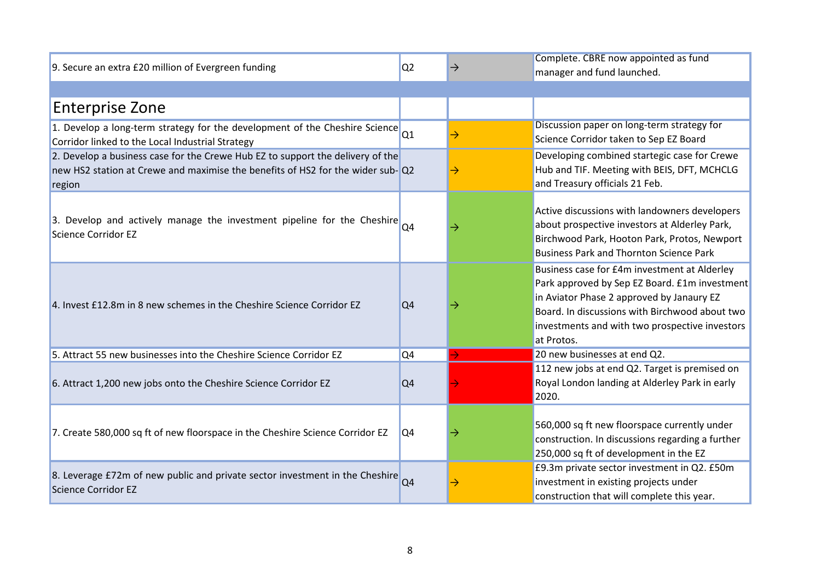| 9. Secure an extra £20 million of Evergreen funding                                                                                                                        | Q <sub>2</sub> | $\rightarrow$ | Complete. CBRE now appointed as fund<br>manager and fund launched.                                                                                                                                                                                           |
|----------------------------------------------------------------------------------------------------------------------------------------------------------------------------|----------------|---------------|--------------------------------------------------------------------------------------------------------------------------------------------------------------------------------------------------------------------------------------------------------------|
|                                                                                                                                                                            |                |               |                                                                                                                                                                                                                                                              |
| <b>Enterprise Zone</b>                                                                                                                                                     |                |               |                                                                                                                                                                                                                                                              |
| 1. Develop a long-term strategy for the development of the Cheshire Science Q1<br>Corridor linked to the Local Industrial Strategy                                         |                | $\rightarrow$ | Discussion paper on long-term strategy for<br>Science Corridor taken to Sep EZ Board                                                                                                                                                                         |
| 2. Develop a business case for the Crewe Hub EZ to support the delivery of the<br>new HS2 station at Crewe and maximise the benefits of HS2 for the wider sub-Q2<br>region |                |               | Developing combined startegic case for Crewe<br>Hub and TIF. Meeting with BEIS, DFT, MCHCLG<br>and Treasury officials 21 Feb.                                                                                                                                |
| 3. Develop and actively manage the investment pipeline for the Cheshire $Q4$<br>Science Corridor EZ                                                                        |                | $\rightarrow$ | Active discussions with landowners developers<br>about prospective investors at Alderley Park,<br>Birchwood Park, Hooton Park, Protos, Newport<br><b>Business Park and Thornton Science Park</b>                                                             |
| 4. Invest £12.8m in 8 new schemes in the Cheshire Science Corridor EZ                                                                                                      | Q4             | $\rightarrow$ | Business case for £4m investment at Alderley<br>Park approved by Sep EZ Board. £1m investment<br>in Aviator Phase 2 approved by Janaury EZ<br>Board. In discussions with Birchwood about two<br>investments and with two prospective investors<br>at Protos. |
| 5. Attract 55 new businesses into the Cheshire Science Corridor EZ                                                                                                         | Q4             |               | 20 new businesses at end Q2.                                                                                                                                                                                                                                 |
| 6. Attract 1,200 new jobs onto the Cheshire Science Corridor EZ                                                                                                            | Q4             |               | 112 new jobs at end Q2. Target is premised on<br>Royal London landing at Alderley Park in early<br>2020.                                                                                                                                                     |
| 7. Create 580,000 sq ft of new floorspace in the Cheshire Science Corridor EZ                                                                                              | Q4             |               | 560,000 sq ft new floorspace currently under<br>construction. In discussions regarding a further<br>250,000 sq ft of development in the EZ                                                                                                                   |
| 8. Leverage £72m of new public and private sector investment in the Cheshire Q4<br>Science Corridor EZ                                                                     |                |               | £9.3m private sector investment in Q2. £50m<br>investment in existing projects under<br>construction that will complete this year.                                                                                                                           |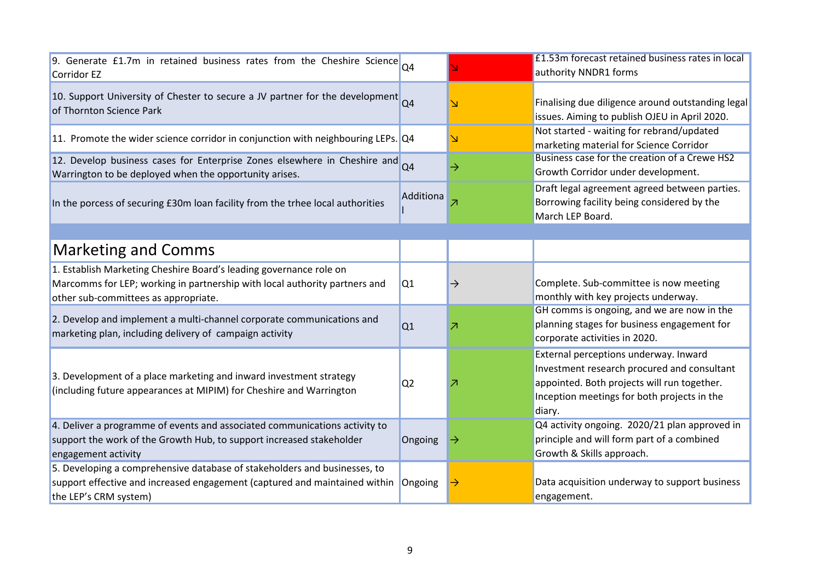| 9. Generate £1.7m in retained business rates from the Cheshire Science<br>Corridor EZ                                                                                                    | Q <sub>4</sub> |                          | E1.53m forecast retained business rates in local<br>authority NNDR1 forms                                                                                                                    |
|------------------------------------------------------------------------------------------------------------------------------------------------------------------------------------------|----------------|--------------------------|----------------------------------------------------------------------------------------------------------------------------------------------------------------------------------------------|
| 10. Support University of Chester to secure a JV partner for the development Q4<br>of Thornton Science Park                                                                              |                |                          | Finalising due diligence around outstanding legal<br>issues. Aiming to publish OJEU in April 2020.                                                                                           |
| 11. Promote the wider science corridor in conjunction with neighbouring LEPs. Q4                                                                                                         |                |                          | Not started - waiting for rebrand/updated<br>marketing material for Science Corridor                                                                                                         |
| 12. Develop business cases for Enterprise Zones elsewhere in Cheshire and Q4<br>Warrington to be deployed when the opportunity arises.                                                   |                | →                        | Business case for the creation of a Crewe HS2<br>Growth Corridor under development.                                                                                                          |
| In the porcess of securing £30m loan facility from the trhee local authorities                                                                                                           | Additiona      |                          | Draft legal agreement agreed between parties.<br>Borrowing facility being considered by the<br>March LEP Board.                                                                              |
|                                                                                                                                                                                          |                |                          |                                                                                                                                                                                              |
| <b>Marketing and Comms</b>                                                                                                                                                               |                |                          |                                                                                                                                                                                              |
| 1. Establish Marketing Cheshire Board's leading governance role on<br>Marcomms for LEP; working in partnership with local authority partners and<br>other sub-committees as appropriate. | Q1             | $\rightarrow$            | Complete. Sub-committee is now meeting<br>monthly with key projects underway.                                                                                                                |
| 2. Develop and implement a multi-channel corporate communications and<br>marketing plan, including delivery of campaign activity                                                         | Q1             | $\overline{\phantom{a}}$ | GH comms is ongoing, and we are now in the<br>planning stages for business engagement for<br>corporate activities in 2020.                                                                   |
| 3. Development of a place marketing and inward investment strategy<br>(including future appearances at MIPIM) for Cheshire and Warrington                                                | Q <sub>2</sub> | 7                        | External perceptions underway. Inward<br>Investment research procured and consultant<br>appointed. Both projects will run together.<br>Inception meetings for both projects in the<br>diary. |
| 4. Deliver a programme of events and associated communications activity to<br>support the work of the Growth Hub, to support increased stakeholder<br>engagement activity                | Ongoing        | →                        | Q4 activity ongoing. 2020/21 plan approved in<br>principle and will form part of a combined<br>Growth & Skills approach.                                                                     |
| 5. Developing a comprehensive database of stakeholders and businesses, to<br>support effective and increased engagement (captured and maintained within<br>the LEP's CRM system)         | Ongoing        |                          | Data acquisition underway to support business<br>engagement.                                                                                                                                 |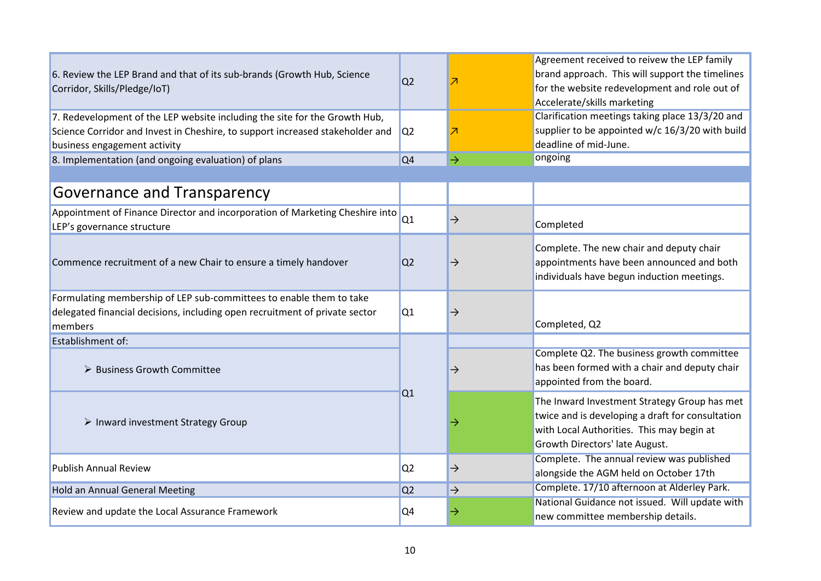| 6. Review the LEP Brand and that of its sub-brands (Growth Hub, Science<br>Corridor, Skills/Pledge/IoT)                                                                                     | Q <sub>2</sub> | Z             | Agreement received to reivew the LEP family<br>brand approach. This will support the timelines<br>for the website redevelopment and role out of<br>Accelerate/skills marketing  |
|---------------------------------------------------------------------------------------------------------------------------------------------------------------------------------------------|----------------|---------------|---------------------------------------------------------------------------------------------------------------------------------------------------------------------------------|
| 7. Redevelopment of the LEP website including the site for the Growth Hub,<br>Science Corridor and Invest in Cheshire, to support increased stakeholder and<br>business engagement activity | Q <sub>2</sub> | Z             | Clarification meetings taking place 13/3/20 and<br>supplier to be appointed w/c 16/3/20 with build<br>deadline of mid-June.                                                     |
| 8. Implementation (and ongoing evaluation) of plans                                                                                                                                         | Q <sub>4</sub> | $\rightarrow$ | ongoing                                                                                                                                                                         |
| Governance and Transparency                                                                                                                                                                 |                |               |                                                                                                                                                                                 |
| Appointment of Finance Director and incorporation of Marketing Cheshire into<br>LEP's governance structure                                                                                  | Q1             | $\rightarrow$ | Completed                                                                                                                                                                       |
| Commence recruitment of a new Chair to ensure a timely handover                                                                                                                             | Q <sub>2</sub> | $\rightarrow$ | Complete. The new chair and deputy chair<br>appointments have been announced and both<br>individuals have begun induction meetings.                                             |
| Formulating membership of LEP sub-committees to enable them to take<br>delegated financial decisions, including open recruitment of private sector<br>members                               | Q1             | $\rightarrow$ | Completed, Q2                                                                                                                                                                   |
| <b>Establishment of:</b>                                                                                                                                                                    |                |               |                                                                                                                                                                                 |
| > Business Growth Committee                                                                                                                                                                 |                | $\rightarrow$ | Complete Q2. The business growth committee<br>has been formed with a chair and deputy chair<br>appointed from the board.                                                        |
| $\triangleright$ Inward investment Strategy Group                                                                                                                                           | Q1             | →             | The Inward Investment Strategy Group has met<br>twice and is developing a draft for consultation<br>with Local Authorities. This may begin at<br>Growth Directors' late August. |
| <b>Publish Annual Review</b>                                                                                                                                                                | Q <sub>2</sub> | $\rightarrow$ | Complete. The annual review was published<br>alongside the AGM held on October 17th                                                                                             |
| <b>Hold an Annual General Meeting</b>                                                                                                                                                       | Q <sub>2</sub> | $\rightarrow$ | Complete. 17/10 afternoon at Alderley Park.                                                                                                                                     |
| Review and update the Local Assurance Framework                                                                                                                                             | Q <sub>4</sub> | →             | National Guidance not issued. Will update with<br>new committee membership details.                                                                                             |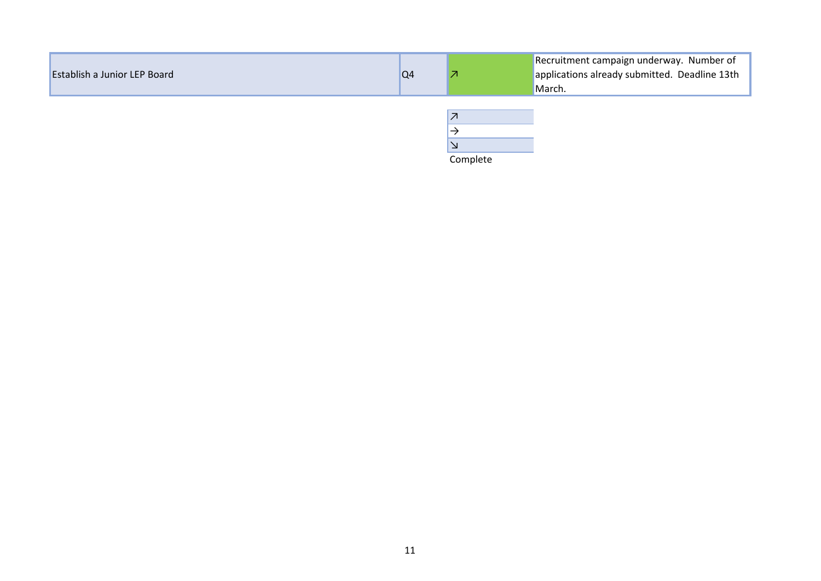| <b>Establish a Junior LEP Board</b> | Q <sub>4</sub> | Recruitment campaign underway. Number of<br>applications already submitted. Deadline 13th<br>March. |
|-------------------------------------|----------------|-----------------------------------------------------------------------------------------------------|
|                                     |                |                                                                                                     |

| Complete |  |
|----------|--|

11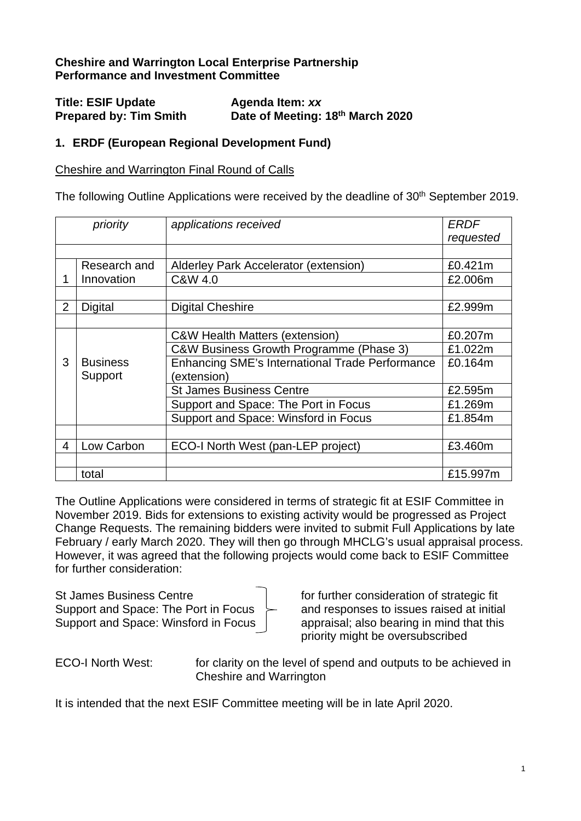## **Cheshire and Warrington Local Enterprise Partnership Performance and Investment Committee**

| <b>Title: ESIF Update</b>     | Agenda Item: xx                  |
|-------------------------------|----------------------------------|
| <b>Prepared by: Tim Smith</b> | Date of Meeting: 18th March 2020 |

## **1. ERDF (European Regional Development Fund)**

#### Cheshire and Warrington Final Round of Calls

The following Outline Applications were received by the deadline of 30<sup>th</sup> September 2019.

|                | priority        | applications received                                  | <b>ERDF</b> |
|----------------|-----------------|--------------------------------------------------------|-------------|
|                |                 |                                                        | requested   |
|                |                 |                                                        |             |
|                | Research and    | Alderley Park Accelerator (extension)                  | £0.421m     |
|                | Innovation      | C&W 4.0                                                | £2.006m     |
|                |                 |                                                        |             |
| $\overline{2}$ | <b>Digital</b>  | <b>Digital Cheshire</b>                                | £2.999m     |
|                |                 |                                                        |             |
|                |                 | <b>C&amp;W Health Matters (extension)</b>              | £0.207m     |
|                |                 | C&W Business Growth Programme (Phase 3)                | £1.022m     |
| 3              | <b>Business</b> | <b>Enhancing SME's International Trade Performance</b> | £0.164m     |
|                | Support         | (extension)                                            |             |
|                |                 | <b>St James Business Centre</b>                        | £2.595m     |
|                |                 | Support and Space: The Port in Focus                   | £1.269m     |
|                |                 | Support and Space: Winsford in Focus                   | £1.854m     |
|                |                 |                                                        |             |
| 4              | Low Carbon      | ECO-I North West (pan-LEP project)                     | £3.460m     |
|                |                 |                                                        |             |
|                | total           |                                                        | £15.997m    |

The Outline Applications were considered in terms of strategic fit at ESIF Committee in November 2019. Bids for extensions to existing activity would be progressed as Project Change Requests. The remaining bidders were invited to submit Full Applications by late February / early March 2020. They will then go through MHCLG's usual appraisal process. However, it was agreed that the following projects would come back to ESIF Committee for further consideration:

St James Business Centre Formal Form for further consideration of strategic fit Support and Space: The Port in Focus  $\geq$  and responses to issues raised at initial Support and Space: Winsford in Focus  $\parallel$  appraisal; also bearing in mind that this

priority might be oversubscribed

ECO-I North West: for clarity on the level of spend and outputs to be achieved in Cheshire and Warrington

It is intended that the next ESIF Committee meeting will be in late April 2020.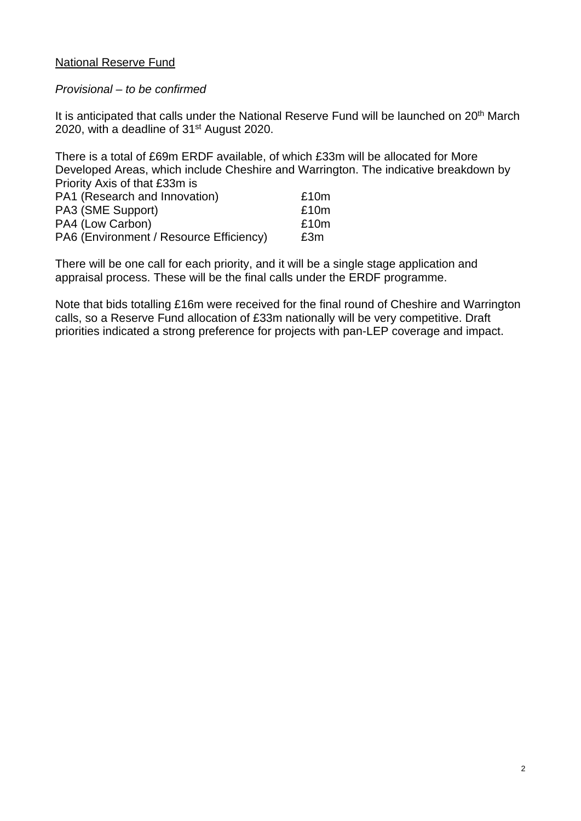## National Reserve Fund

#### *Provisional – to be confirmed*

It is anticipated that calls under the National Reserve Fund will be launched on 20<sup>th</sup> March 2020, with a deadline of 31st August 2020.

There is a total of £69m ERDF available, of which £33m will be allocated for More Developed Areas, which include Cheshire and Warrington. The indicative breakdown by Priority Axis of that £33m is

| PA1 (Research and Innovation)           | £10m |
|-----------------------------------------|------|
| PA3 (SME Support)                       | £10m |
| PA4 (Low Carbon)                        | £10m |
| PA6 (Environment / Resource Efficiency) | £3m  |

There will be one call for each priority, and it will be a single stage application and appraisal process. These will be the final calls under the ERDF programme.

Note that bids totalling £16m were received for the final round of Cheshire and Warrington calls, so a Reserve Fund allocation of £33m nationally will be very competitive. Draft priorities indicated a strong preference for projects with pan-LEP coverage and impact.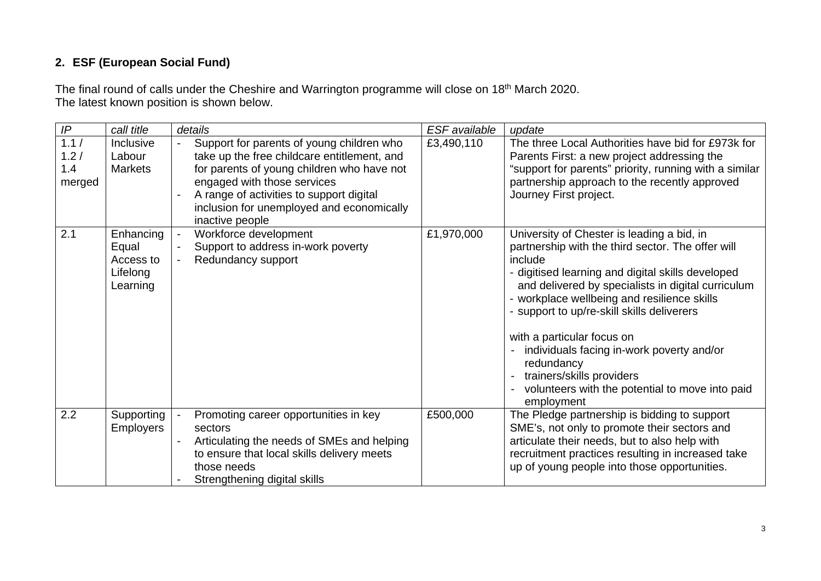## **2. ESF (European Social Fund)**

The final round of calls under the Cheshire and Warrington programme will close on 18<sup>th</sup> March 2020. The latest known position is shown below.

| IP                            | call title                                              | details                                                                                                                                                                                                                                                                           | ESF available | update                                                                                                                                                                                                                                                                                                                                                                                                                                                                                                    |
|-------------------------------|---------------------------------------------------------|-----------------------------------------------------------------------------------------------------------------------------------------------------------------------------------------------------------------------------------------------------------------------------------|---------------|-----------------------------------------------------------------------------------------------------------------------------------------------------------------------------------------------------------------------------------------------------------------------------------------------------------------------------------------------------------------------------------------------------------------------------------------------------------------------------------------------------------|
| 1.1/<br>1.2/<br>1.4<br>merged | Inclusive<br>Labour<br><b>Markets</b>                   | Support for parents of young children who<br>take up the free childcare entitlement, and<br>for parents of young children who have not<br>engaged with those services<br>A range of activities to support digital<br>inclusion for unemployed and economically<br>inactive people | £3,490,110    | The three Local Authorities have bid for £973k for<br>Parents First: a new project addressing the<br>"support for parents" priority, running with a similar<br>partnership approach to the recently approved<br>Journey First project.                                                                                                                                                                                                                                                                    |
| 2.1                           | Enhancing<br>Equal<br>Access to<br>Lifelong<br>Learning | Workforce development<br>Support to address in-work poverty<br>Redundancy support                                                                                                                                                                                                 | £1,970,000    | University of Chester is leading a bid, in<br>partnership with the third sector. The offer will<br>include<br>- digitised learning and digital skills developed<br>and delivered by specialists in digital curriculum<br>- workplace wellbeing and resilience skills<br>- support to up/re-skill skills deliverers<br>with a particular focus on<br>individuals facing in-work poverty and/or<br>redundancy<br>trainers/skills providers<br>volunteers with the potential to move into paid<br>employment |
| 2.2                           | Supporting<br><b>Employers</b>                          | Promoting career opportunities in key<br>sectors<br>Articulating the needs of SMEs and helping<br>to ensure that local skills delivery meets<br>those needs<br>Strengthening digital skills                                                                                       | £500,000      | The Pledge partnership is bidding to support<br>SME's, not only to promote their sectors and<br>articulate their needs, but to also help with<br>recruitment practices resulting in increased take<br>up of young people into those opportunities.                                                                                                                                                                                                                                                        |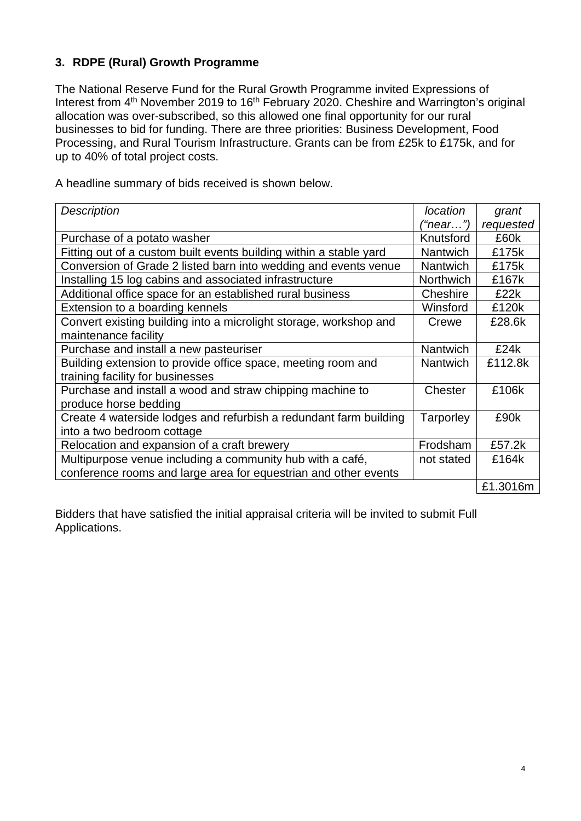## **3. RDPE (Rural) Growth Programme**

The National Reserve Fund for the Rural Growth Programme invited Expressions of Interest from  $4<sup>th</sup>$  November 2019 to 16<sup>th</sup> February 2020. Cheshire and Warrington's original allocation was over-subscribed, so this allowed one final opportunity for our rural businesses to bid for funding. There are three priorities: Business Development, Food Processing, and Rural Tourism Infrastructure. Grants can be from £25k to £175k, and for up to 40% of total project costs.

A headline summary of bids received is shown below.

| <b>Description</b>                                                 | <i>location</i>  | grant     |
|--------------------------------------------------------------------|------------------|-----------|
|                                                                    | ("near…")        | requested |
| Purchase of a potato washer                                        | Knutsford        | £60k      |
| Fitting out of a custom built events building within a stable yard | <b>Nantwich</b>  | £175k     |
| Conversion of Grade 2 listed barn into wedding and events venue    | <b>Nantwich</b>  | £175k     |
| Installing 15 log cabins and associated infrastructure             | <b>Northwich</b> | £167k     |
| Additional office space for an established rural business          | Cheshire         | £22k      |
| Extension to a boarding kennels                                    | Winsford         | £120k     |
| Convert existing building into a microlight storage, workshop and  | Crewe            | £28.6k    |
| maintenance facility                                               |                  |           |
| Purchase and install a new pasteuriser                             | <b>Nantwich</b>  | £24k      |
| Building extension to provide office space, meeting room and       | <b>Nantwich</b>  | £112.8k   |
| training facility for businesses                                   |                  |           |
| Purchase and install a wood and straw chipping machine to          | Chester          | £106k     |
| produce horse bedding                                              |                  |           |
| Create 4 waterside lodges and refurbish a redundant farm building  | Tarporley        | £90k      |
| into a two bedroom cottage                                         |                  |           |
| Relocation and expansion of a craft brewery                        | Frodsham         | £57.2k    |
| Multipurpose venue including a community hub with a café,          | not stated       | £164k     |
| conference rooms and large area for equestrian and other events    |                  |           |
|                                                                    |                  | £1.3016m  |

Bidders that have satisfied the initial appraisal criteria will be invited to submit Full Applications.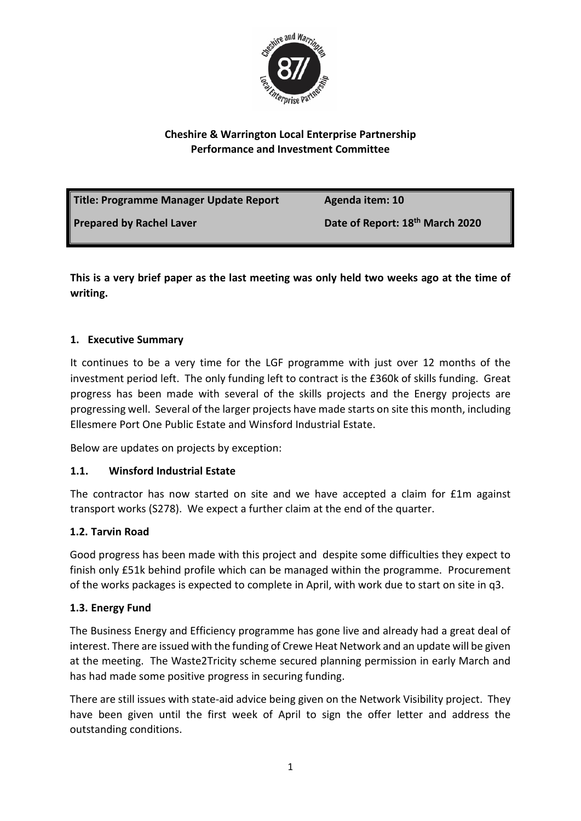

## **Cheshire & Warrington Local Enterprise Partnership Performance and Investment Committee**

| Title: Programme Manager Update Report | Agenda item: 10                             |
|----------------------------------------|---------------------------------------------|
| Prepared by Rachel Laver               | Date of Report: 18 <sup>th</sup> March 2020 |

**This is a very brief paper as the last meeting was only held two weeks ago at the time of writing.**

## **1. Executive Summary**

It continues to be a very time for the LGF programme with just over 12 months of the investment period left. The only funding left to contract is the £360k of skills funding. Great progress has been made with several of the skills projects and the Energy projects are progressing well. Several of the larger projects have made starts on site this month, including Ellesmere Port One Public Estate and Winsford Industrial Estate.

Below are updates on projects by exception:

## **1.1. Winsford Industrial Estate**

The contractor has now started on site and we have accepted a claim for £1m against transport works (S278). We expect a further claim at the end of the quarter.

## **1.2. Tarvin Road**

Good progress has been made with this project and despite some difficulties they expect to finish only £51k behind profile which can be managed within the programme. Procurement of the works packages is expected to complete in April, with work due to start on site in q3.

## **1.3. Energy Fund**

The Business Energy and Efficiency programme has gone live and already had a great deal of interest. There are issued with the funding of Crewe Heat Network and an update will be given at the meeting. The Waste2Tricity scheme secured planning permission in early March and has had made some positive progress in securing funding.

There are still issues with state-aid advice being given on the Network Visibility project. They have been given until the first week of April to sign the offer letter and address the outstanding conditions.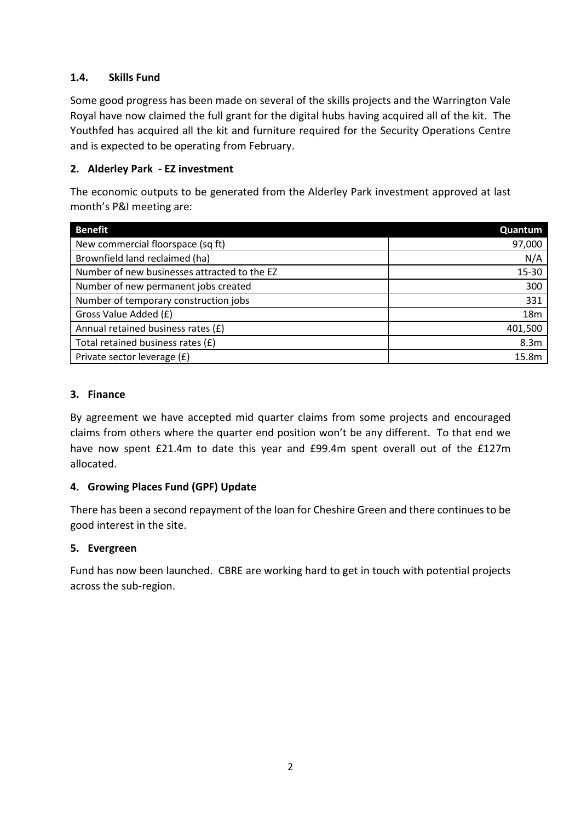## **1.4. Skills Fund**

Some good progress has been made on several of the skills projects and the Warrington Vale Royal have now claimed the full grant for the digital hubs having acquired all of the kit. The Youthfed has acquired all the kit and furniture required for the Security Operations Centre and is expected to be operating from February.

## **2. Alderley Park - EZ investment**

The economic outputs to be generated from the Alderley Park investment approved at last month's P&I meeting are:

| <b>Benefit</b>                               | Quantum          |
|----------------------------------------------|------------------|
| New commercial floorspace (sq ft)            | 97,000           |
| Brownfield land reclaimed (ha)               | N/A              |
| Number of new businesses attracted to the EZ | 15-30            |
| Number of new permanent jobs created         | 300              |
| Number of temporary construction jobs        | 331              |
| Gross Value Added (£)                        | 18 <sub>m</sub>  |
| Annual retained business rates (£)           | 401,500          |
| Total retained business rates (£)            | 8.3 <sub>m</sub> |
| Private sector leverage (£)                  | 15.8m            |

#### **3. Finance**

By agreement we have accepted mid quarter claims from some projects and encouraged claims from others where the quarter end position won't be any different. To that end we have now spent £21.4m to date this year and £99.4m spent overall out of the £127m allocated.

## **4. Growing Places Fund (GPF) Update**

There has been a second repayment of the loan for Cheshire Green and there continues to be good interest in the site.

## **5. Evergreen**

Fund has now been launched. CBRE are working hard to get in touch with potential projects across the sub-region.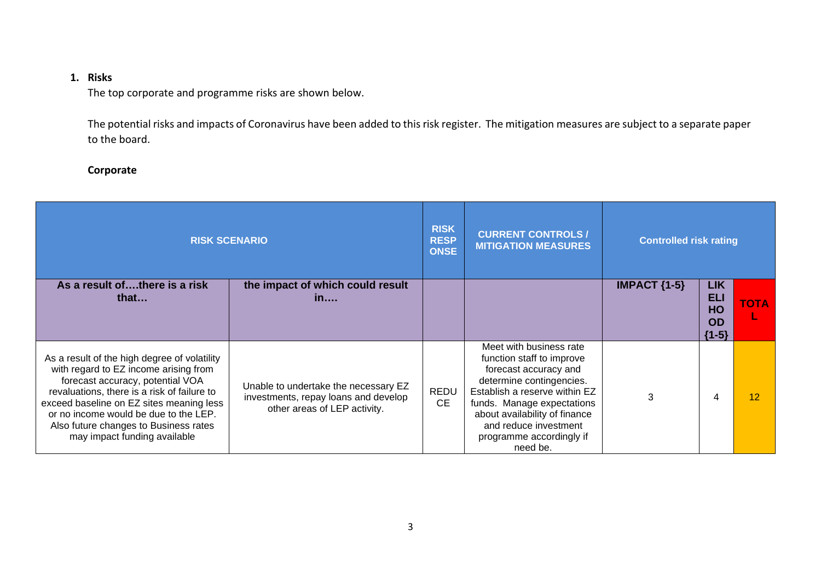## **1. Risks**

The top corporate and programme risks are shown below.

The potential risks and impacts of Coronavirus have been added to this risk register. The mitigation measures are subject to a separate paper to the board.

#### **Corporate**

| <b>RISK SCENARIO</b>                                                                                                                                                                                                                                                                                                                   |                                                                                                              | <b>RISK</b><br><b>RESP</b><br><b>ONSE</b> | <b>CURRENT CONTROLS /</b><br><b>MITIGATION MEASURES</b>                                                                                                                                                                                                                    | <b>Controlled risk rating</b> |                                                 |             |
|----------------------------------------------------------------------------------------------------------------------------------------------------------------------------------------------------------------------------------------------------------------------------------------------------------------------------------------|--------------------------------------------------------------------------------------------------------------|-------------------------------------------|----------------------------------------------------------------------------------------------------------------------------------------------------------------------------------------------------------------------------------------------------------------------------|-------------------------------|-------------------------------------------------|-------------|
| As a result ofthere is a risk<br>that $\dots$                                                                                                                                                                                                                                                                                          | the impact of which could result<br>in                                                                       |                                           |                                                                                                                                                                                                                                                                            | IMPACT $\{1-5\}$              | <b>LIK</b><br>ELI<br>HO<br><b>OD</b><br>${1-5}$ | <b>TOTA</b> |
| As a result of the high degree of volatility<br>with regard to EZ income arising from<br>forecast accuracy, potential VOA<br>revaluations, there is a risk of failure to<br>exceed baseline on EZ sites meaning less<br>or no income would be due to the LEP.<br>Also future changes to Business rates<br>may impact funding available | Unable to undertake the necessary EZ<br>investments, repay loans and develop<br>other areas of LEP activity. | <b>REDU</b><br><b>CE</b>                  | Meet with business rate<br>function staff to improve<br>forecast accuracy and<br>determine contingencies.<br>Establish a reserve within EZ<br>funds. Manage expectations<br>about availability of finance<br>and reduce investment<br>programme accordingly if<br>need be. | 3                             |                                                 | 12          |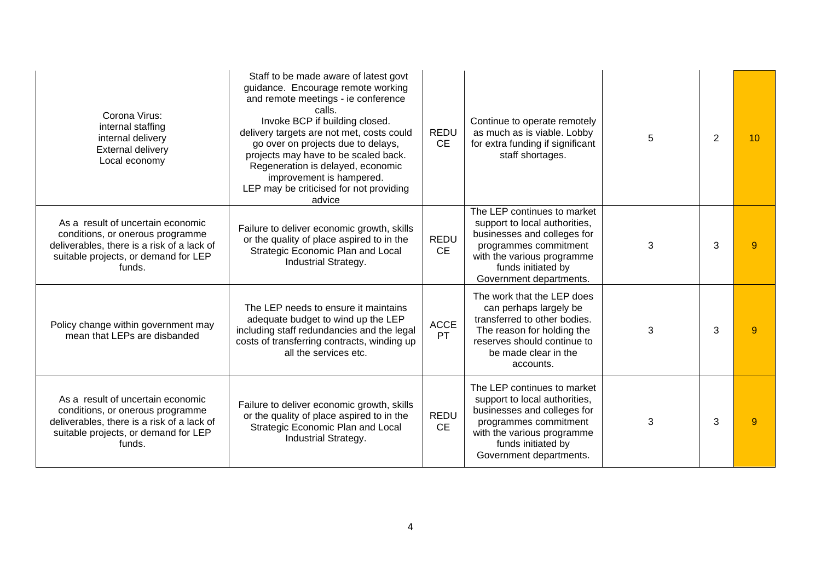| Corona Virus:<br>internal staffing<br>internal delivery<br><b>External delivery</b><br>Local economy                                                                  | Staff to be made aware of latest govt<br>guidance. Encourage remote working<br>and remote meetings - ie conference<br>calls.<br>Invoke BCP if building closed.<br>delivery targets are not met, costs could<br>go over on projects due to delays,<br>projects may have to be scaled back.<br>Regeneration is delayed, economic<br>improvement is hampered.<br>LEP may be criticised for not providing<br>advice | <b>REDU</b><br><b>CE</b> | Continue to operate remotely<br>as much as is viable. Lobby<br>for extra funding if significant<br>staff shortages.                                                                                 | 5 | 2 | 10             |
|-----------------------------------------------------------------------------------------------------------------------------------------------------------------------|-----------------------------------------------------------------------------------------------------------------------------------------------------------------------------------------------------------------------------------------------------------------------------------------------------------------------------------------------------------------------------------------------------------------|--------------------------|-----------------------------------------------------------------------------------------------------------------------------------------------------------------------------------------------------|---|---|----------------|
| As a result of uncertain economic<br>conditions, or onerous programme<br>deliverables, there is a risk of a lack of<br>suitable projects, or demand for LEP<br>funds. | Failure to deliver economic growth, skills<br>or the quality of place aspired to in the<br>Strategic Economic Plan and Local<br>Industrial Strategy.                                                                                                                                                                                                                                                            | <b>REDU</b><br><b>CE</b> | The LEP continues to market<br>support to local authorities,<br>businesses and colleges for<br>programmes commitment<br>with the various programme<br>funds initiated by<br>Government departments. | 3 | 3 | $\overline{9}$ |
| Policy change within government may<br>mean that LEPs are disbanded                                                                                                   | The LEP needs to ensure it maintains<br>adequate budget to wind up the LEP<br>including staff redundancies and the legal<br>costs of transferring contracts, winding up<br>all the services etc.                                                                                                                                                                                                                | <b>ACCE</b><br>PT        | The work that the LEP does<br>can perhaps largely be<br>transferred to other bodies.<br>The reason for holding the<br>reserves should continue to<br>be made clear in the<br>accounts.              | 3 | 3 | 9              |
| As a result of uncertain economic<br>conditions, or onerous programme<br>deliverables, there is a risk of a lack of<br>suitable projects, or demand for LEP<br>funds. | Failure to deliver economic growth, skills<br>or the quality of place aspired to in the<br>Strategic Economic Plan and Local<br>Industrial Strategy.                                                                                                                                                                                                                                                            | <b>REDU</b><br><b>CE</b> | The LEP continues to market<br>support to local authorities,<br>businesses and colleges for<br>programmes commitment<br>with the various programme<br>funds initiated by<br>Government departments. | 3 | 3 | 9              |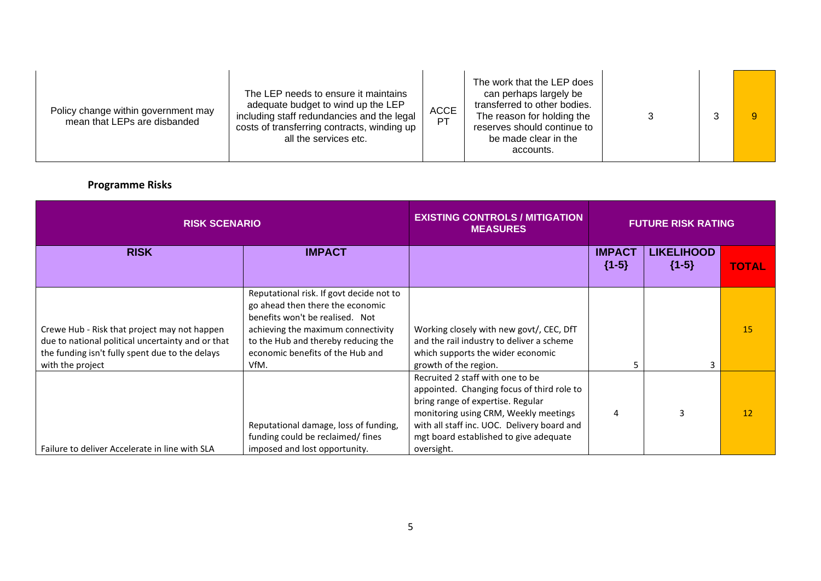| Policy change within government may<br>mean that LEPs are disbanded | The LEP needs to ensure it maintains<br>adequate budget to wind up the LEP<br>including staff redundancies and the legal<br>costs of transferring contracts, winding up<br>all the services etc. | <b>ACCE</b><br><b>PT</b> | The work that the LEP does<br>can perhaps largely be<br>transferred to other bodies.<br>The reason for holding the<br>reserves should continue to<br>be made clear in the<br>accounts. |  |  | $\overline{9}$ |
|---------------------------------------------------------------------|--------------------------------------------------------------------------------------------------------------------------------------------------------------------------------------------------|--------------------------|----------------------------------------------------------------------------------------------------------------------------------------------------------------------------------------|--|--|----------------|
|---------------------------------------------------------------------|--------------------------------------------------------------------------------------------------------------------------------------------------------------------------------------------------|--------------------------|----------------------------------------------------------------------------------------------------------------------------------------------------------------------------------------|--|--|----------------|

# **Programme Risks**

| <b>RISK SCENARIO</b>                                                                                                                                                     |                                                                                                                                                                                                                                          | <b>EXISTING CONTROLS / MITIGATION</b><br><b>MEASURES</b>                                                                                                                                                                                                            | <b>FUTURE RISK RATING</b> |                              |              |
|--------------------------------------------------------------------------------------------------------------------------------------------------------------------------|------------------------------------------------------------------------------------------------------------------------------------------------------------------------------------------------------------------------------------------|---------------------------------------------------------------------------------------------------------------------------------------------------------------------------------------------------------------------------------------------------------------------|---------------------------|------------------------------|--------------|
| <b>RISK</b>                                                                                                                                                              | <b>IMPACT</b>                                                                                                                                                                                                                            |                                                                                                                                                                                                                                                                     | <b>IMPACT</b><br>${1-5}$  | <b>LIKELIHOOD</b><br>${1-5}$ | <b>TOTAL</b> |
| Crewe Hub - Risk that project may not happen<br>due to national political uncertainty and or that<br>the funding isn't fully spent due to the delays<br>with the project | Reputational risk. If govt decide not to<br>go ahead then there the economic<br>benefits won't be realised. Not<br>achieving the maximum connectivity<br>to the Hub and thereby reducing the<br>economic benefits of the Hub and<br>VfM. | Working closely with new govt/, CEC, DfT<br>and the rail industry to deliver a scheme<br>which supports the wider economic<br>growth of the region.                                                                                                                 |                           |                              | 15           |
| Failure to deliver Accelerate in line with SLA                                                                                                                           | Reputational damage, loss of funding,<br>funding could be reclaimed/fines<br>imposed and lost opportunity.                                                                                                                               | Recruited 2 staff with one to be<br>appointed. Changing focus of third role to<br>bring range of expertise. Regular<br>monitoring using CRM, Weekly meetings<br>with all staff inc. UOC. Delivery board and<br>mgt board established to give adequate<br>oversight. | Δ                         | 3                            | 12           |